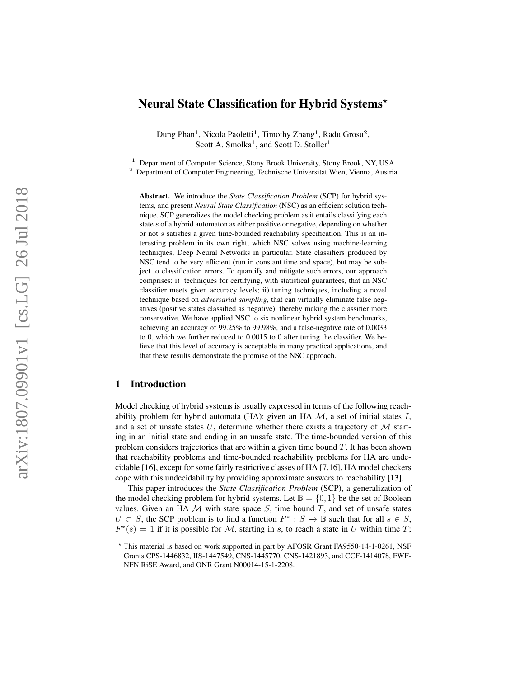# Neural State Classification for Hybrid Systems?

Dung Phan<sup>1</sup>, Nicola Paoletti<sup>1</sup>, Timothy Zhang<sup>1</sup>, Radu Grosu<sup>2</sup>, Scott A. Smolka<sup>1</sup>, and Scott D. Stoller<sup>1</sup>

 $1$  Department of Computer Science, Stony Brook University, Stony Brook, NY, USA

<sup>2</sup> Department of Computer Engineering, Technische Universitat Wien, Vienna, Austria

Abstract. We introduce the *State Classification Problem* (SCP) for hybrid systems, and present *Neural State Classification* (NSC) as an efficient solution technique. SCP generalizes the model checking problem as it entails classifying each state s of a hybrid automaton as either positive or negative, depending on whether or not s satisfies a given time-bounded reachability specification. This is an interesting problem in its own right, which NSC solves using machine-learning techniques, Deep Neural Networks in particular. State classifiers produced by NSC tend to be very efficient (run in constant time and space), but may be subject to classification errors. To quantify and mitigate such errors, our approach comprises: i) techniques for certifying, with statistical guarantees, that an NSC classifier meets given accuracy levels; ii) tuning techniques, including a novel technique based on *adversarial sampling*, that can virtually eliminate false negatives (positive states classified as negative), thereby making the classifier more conservative. We have applied NSC to six nonlinear hybrid system benchmarks, achieving an accuracy of 99.25% to 99.98%, and a false-negative rate of 0.0033 to 0, which we further reduced to 0.0015 to 0 after tuning the classifier. We believe that this level of accuracy is acceptable in many practical applications, and that these results demonstrate the promise of the NSC approach.

### 1 Introduction

Model checking of hybrid systems is usually expressed in terms of the following reachability problem for hybrid automata (HA): given an HA  $M$ , a set of initial states  $I$ , and a set of unsafe states U, determine whether there exists a trajectory of  $\mathcal M$  starting in an initial state and ending in an unsafe state. The time-bounded version of this problem considers trajectories that are within a given time bound  $T$ . It has been shown that reachability problems and time-bounded reachability problems for HA are undecidable [16], except for some fairly restrictive classes of HA [7,16]. HA model checkers cope with this undecidability by providing approximate answers to reachability [13].

This paper introduces the *State Classification Problem* (SCP), a generalization of the model checking problem for hybrid systems. Let  $\mathbb{B} = \{0, 1\}$  be the set of Boolean values. Given an HA  $M$  with state space  $S$ , time bound  $T$ , and set of unsafe states  $U \subset S$ , the SCP problem is to find a function  $F^* : S \to \mathbb{B}$  such that for all  $s \in S$ ,  $F^*(s) = 1$  if it is possible for M, starting in s, to reach a state in U within time T;

<sup>?</sup> This material is based on work supported in part by AFOSR Grant FA9550-14-1-0261, NSF Grants CPS-1446832, IIS-1447549, CNS-1445770, CNS-1421893, and CCF-1414078, FWF-NFN RiSE Award, and ONR Grant N00014-15-1-2208.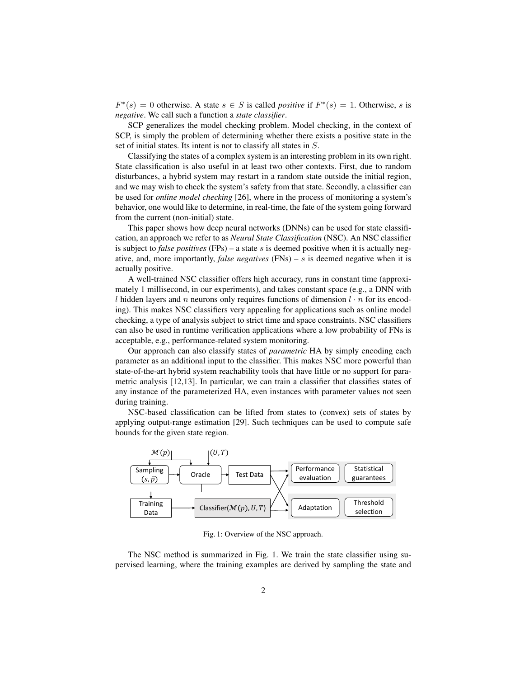$F^*(s) = 0$  otherwise. A state  $s \in S$  is called *positive* if  $F^*(s) = 1$ . Otherwise, s is *negative*. We call such a function a *state classifier*.

SCP generalizes the model checking problem. Model checking, in the context of SCP, is simply the problem of determining whether there exists a positive state in the set of initial states. Its intent is not to classify all states in S.

Classifying the states of a complex system is an interesting problem in its own right. State classification is also useful in at least two other contexts. First, due to random disturbances, a hybrid system may restart in a random state outside the initial region, and we may wish to check the system's safety from that state. Secondly, a classifier can be used for *online model checking* [26], where in the process of monitoring a system's behavior, one would like to determine, in real-time, the fate of the system going forward from the current (non-initial) state.

This paper shows how deep neural networks (DNNs) can be used for state classification, an approach we refer to as *Neural State Classification* (NSC). An NSC classifier is subject to *false positives* (FPs) – a state s is deemed positive when it is actually negative, and, more importantly, *false negatives* (FNs) – s is deemed negative when it is actually positive.

A well-trained NSC classifier offers high accuracy, runs in constant time (approximately 1 millisecond, in our experiments), and takes constant space (e.g., a DNN with l hidden layers and n neurons only requires functions of dimension  $l \cdot n$  for its encoding). This makes NSC classifiers very appealing for applications such as online model checking, a type of analysis subject to strict time and space constraints. NSC classifiers can also be used in runtime verification applications where a low probability of FNs is acceptable, e.g., performance-related system monitoring.

Our approach can also classify states of *parametric* HA by simply encoding each parameter as an additional input to the classifier. This makes NSC more powerful than state-of-the-art hybrid system reachability tools that have little or no support for parametric analysis [12,13]. In particular, we can train a classifier that classifies states of any instance of the parameterized HA, even instances with parameter values not seen during training.

NSC-based classification can be lifted from states to (convex) sets of states by applying output-range estimation [29]. Such techniques can be used to compute safe bounds for the given state region.



Fig. 1: Overview of the NSC approach.

The NSC method is summarized in Fig. 1. We train the state classifier using supervised learning, where the training examples are derived by sampling the state and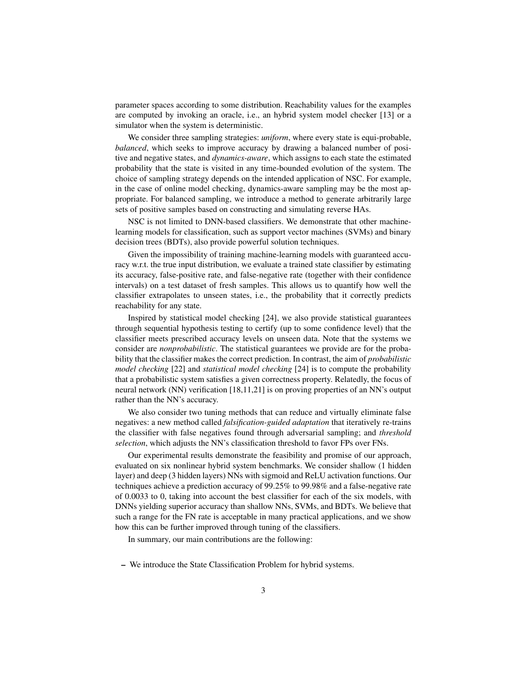parameter spaces according to some distribution. Reachability values for the examples are computed by invoking an oracle, i.e., an hybrid system model checker [13] or a simulator when the system is deterministic.

We consider three sampling strategies: *uniform*, where every state is equi-probable, *balanced*, which seeks to improve accuracy by drawing a balanced number of positive and negative states, and *dynamics-aware*, which assigns to each state the estimated probability that the state is visited in any time-bounded evolution of the system. The choice of sampling strategy depends on the intended application of NSC. For example, in the case of online model checking, dynamics-aware sampling may be the most appropriate. For balanced sampling, we introduce a method to generate arbitrarily large sets of positive samples based on constructing and simulating reverse HAs.

NSC is not limited to DNN-based classifiers. We demonstrate that other machinelearning models for classification, such as support vector machines (SVMs) and binary decision trees (BDTs), also provide powerful solution techniques.

Given the impossibility of training machine-learning models with guaranteed accuracy w.r.t. the true input distribution, we evaluate a trained state classifier by estimating its accuracy, false-positive rate, and false-negative rate (together with their confidence intervals) on a test dataset of fresh samples. This allows us to quantify how well the classifier extrapolates to unseen states, i.e., the probability that it correctly predicts reachability for any state.

Inspired by statistical model checking [24], we also provide statistical guarantees through sequential hypothesis testing to certify (up to some confidence level) that the classifier meets prescribed accuracy levels on unseen data. Note that the systems we consider are *nonprobabilistic*. The statistical guarantees we provide are for the probability that the classifier makes the correct prediction. In contrast, the aim of *probabilistic model checking* [22] and *statistical model checking* [24] is to compute the probability that a probabilistic system satisfies a given correctness property. Relatedly, the focus of neural network (NN) verification [18,11,21] is on proving properties of an NN's output rather than the NN's accuracy.

We also consider two tuning methods that can reduce and virtually eliminate false negatives: a new method called *falsification-guided adaptation* that iteratively re-trains the classifier with false negatives found through adversarial sampling; and *threshold selection*, which adjusts the NN's classification threshold to favor FPs over FNs.

Our experimental results demonstrate the feasibility and promise of our approach, evaluated on six nonlinear hybrid system benchmarks. We consider shallow (1 hidden layer) and deep (3 hidden layers) NNs with sigmoid and ReLU activation functions. Our techniques achieve a prediction accuracy of 99.25% to 99.98% and a false-negative rate of 0.0033 to 0, taking into account the best classifier for each of the six models, with DNNs yielding superior accuracy than shallow NNs, SVMs, and BDTs. We believe that such a range for the FN rate is acceptable in many practical applications, and we show how this can be further improved through tuning of the classifiers.

In summary, our main contributions are the following:

– We introduce the State Classification Problem for hybrid systems.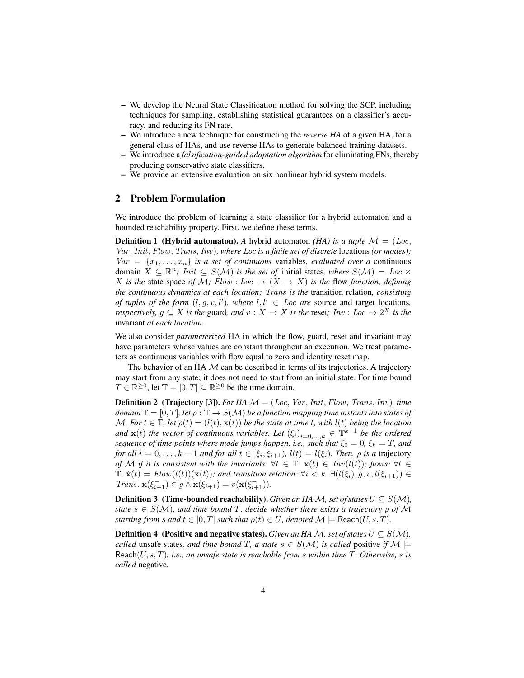- We develop the Neural State Classification method for solving the SCP, including techniques for sampling, establishing statistical guarantees on a classifier's accuracy, and reducing its FN rate.
- We introduce a new technique for constructing the *reverse HA* of a given HA, for a general class of HAs, and use reverse HAs to generate balanced training datasets.
- We introduce a *falsification-guided adaptation algorithm* for eliminating FNs, thereby producing conservative state classifiers.
- We provide an extensive evaluation on six nonlinear hybrid system models.

### 2 Problem Formulation

We introduce the problem of learning a state classifier for a hybrid automaton and a bounded reachability property. First, we define these terms.

**Definition 1 (Hybrid automaton).** A hybrid automaton *(HA) is a tuple*  $\mathcal{M} = (Loc,$ Var , Init, Flow, Trans,Inv)*, where* Loc *is a finite set of discrete* locations *(or modes);*  $Var = \{x_1, \ldots, x_n\}$  *is a set of continuous variables, evaluated over a continuous* domain  $X \subseteq \mathbb{R}^n$ ; *Init*  $\subseteq S(\mathcal{M})$  *is the set of initial states, where*  $S(\mathcal{M}) = Loc \times$ X is the state space of M; Flow : Loc  $\rightarrow$  (X  $\rightarrow$  X) is the flow function, defining *the continuous dynamics at each location;* Trans *is the* transition relation*, consisting of tuples of the form*  $(l, g, v, l')$ *, where*  $l, l' \in Loc$  *are* source and target locations*, respectively,*  $g \subseteq X$  *is the guard, and*  $v : X \to X$  *is the reset; Inv : Loc*  $\to 2^X$  *is the* invariant *at each location.*

We also consider *parameterized* HA in which the flow, guard, reset and invariant may have parameters whose values are constant throughout an execution. We treat parameters as continuous variables with flow equal to zero and identity reset map.

The behavior of an HA  $M$  can be described in terms of its trajectories. A trajectory may start from any state; it does not need to start from an initial state. For time bound  $T \in \mathbb{R}^{\geq 0}$ , let  $\mathbb{T} = [0, T] \subseteq \mathbb{R}^{\geq 0}$  be the time domain.

**Definition 2** (Trajectory [3]). *For HA*  $M = (Loc, Var,Init, Flow, Trans, Inv)$ *, time domain*  $\mathbb{T} = [0, T]$ *, let*  $\rho : \mathbb{T} \to S(\mathcal{M})$  *be a function mapping time instants into states of M*. For  $t \in \mathbb{T}$ , let  $\rho(t) = (l(t), \mathbf{x}(t))$  be the state at time t, with  $l(t)$  being the location and  $\mathbf{x}(t)$  the vector of continuous variables. Let  $(\xi_i)_{i=0,\dots,k} \in \mathbb{T}^{k+1}$  be the ordered *sequence of time points where mode jumps happen, i.e., such that*  $\xi_0 = 0$ ,  $\xi_k = T$ , and *for all*  $i = 0, ..., k - 1$  *and for all*  $t \in [\xi_i, \xi_{i+1})$ ,  $l(t) = l(\xi_i)$ . *Then,*  $\rho$  *is a* trajectory *of* M if it is consistent with the invariants:  $\forall t \in \mathbb{T}$ .  $\mathbf{x}(t) \in Inv(l(t))$ ; flows:  $\forall t \in$  $\mathbb{T}.$   $\dot{\mathbf{x}}(t) = Flow(l(t))(\mathbf{x}(t))$ ; and transition relation:  $\forall i < k$ .  $\exists (l(\xi_i), g, v, l(\xi_{i+1})) \in$ Trans.  $\mathbf{x}(\xi_{i+1}^-) \in g \wedge \mathbf{x}(\xi_{i+1}) = v(\mathbf{x}(\xi_{i+1}^-)).$ 

**Definition 3** (Time-bounded reachability). *Given an HAM, set of states*  $U \subseteq S(M)$ *, state*  $s \in S(M)$ *, and time bound* T, decide whether there exists a trajectory  $\rho$  of M *starting from s and*  $t \in [0, T]$  *such that*  $\rho(t) \in U$ , denoted  $\mathcal{M} \models$  Reach $(U, s, T)$ .

**Definition 4** (Positive and negative states). *Given an HAM, set of states*  $U \subseteq S(\mathcal{M})$ *, called* unsafe states, and time bound T, a state  $s \in S(\mathcal{M})$  is called positive if  $\mathcal{M} \models$ Reach(U, s, T)*, i.e., an unsafe state is reachable from* s *within time* T*. Otherwise,* s *is called* negative*.*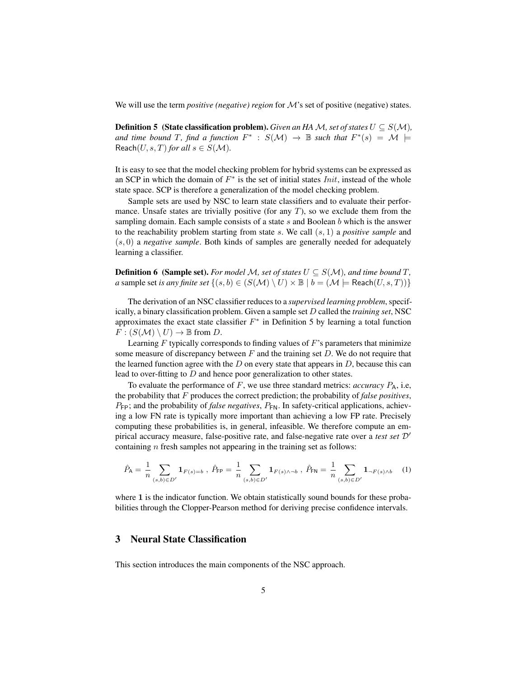We will use the term *positive (negative) region* for M's set of positive (negative) states.

**Definition 5** (State classification problem). *Given an HAM*, set of states  $U \subseteq S(M)$ , *and time bound*  $T$ *, find a function*  $F^*$  :  $S(\mathcal{M}) \to \mathbb{B}$  *such that*  $F^*(s) = \mathcal{M} \models$  $\text{Reach}(U, s, T)$  *for all*  $s \in S(\mathcal{M})$ *.* 

It is easy to see that the model checking problem for hybrid systems can be expressed as an SCP in which the domain of  $F^*$  is the set of initial states  $Init$ , instead of the whole state space. SCP is therefore a generalization of the model checking problem.

Sample sets are used by NSC to learn state classifiers and to evaluate their performance. Unsafe states are trivially positive (for any  $T$ ), so we exclude them from the sampling domain. Each sample consists of a state  $s$  and Boolean  $b$  which is the answer to the reachability problem starting from state s. We call (s, 1) a *positive sample* and (s, 0) a *negative sample*. Both kinds of samples are generally needed for adequately learning a classifier.

**Definition 6 (Sample set).** *For model M, set of states*  $U \subseteq S(M)$ *, and time bound*  $T$ *, a* sample set *is any finite set*  $\{(s, b) \in (S(\mathcal{M}) \setminus U) \times \mathbb{B} \mid b = (\mathcal{M} \models \text{Reach}(U, s, T))\}$ 

The derivation of an NSC classifier reduces to a *supervised learning problem*, specifically, a binary classification problem. Given a sample set D called the *training set*, NSC approximates the exact state classifier  $F^*$  in Definition 5 by learning a total function  $F: (S(\mathcal{M}) \setminus U) \to \mathbb{B}$  from D.

Learning  $F$  typically corresponds to finding values of  $F$ 's parameters that minimize some measure of discrepancy between  $F$  and the training set  $D$ . We do not require that the learned function agree with the  $D$  on every state that appears in  $D$ , because this can lead to over-fitting to D and hence poor generalization to other states.

To evaluate the performance of  $F$ , we use three standard metrics: *accuracy*  $P_A$ , i.e, the probability that F produces the correct prediction; the probability of *false positives*,  $P_{\text{FP}}$ ; and the probability of *false negatives*,  $P_{\text{FN}}$ . In safety-critical applications, achieving a low FN rate is typically more important than achieving a low FP rate. Precisely computing these probabilities is, in general, infeasible. We therefore compute an empirical accuracy measure, false-positive rate, and false-negative rate over a *test set*  $D'$ containing  $n$  fresh samples not appearing in the training set as follows:

$$
\hat{P}_{A} = \frac{1}{n} \sum_{(s,b) \in D'} \mathbf{1}_{F(s)=b} , \ \hat{P}_{FP} = \frac{1}{n} \sum_{(s,b) \in D'} \mathbf{1}_{F(s) \wedge \neg b} , \ \hat{P}_{FN} = \frac{1}{n} \sum_{(s,b) \in D'} \mathbf{1}_{\neg F(s) \wedge b} \tag{1}
$$

where 1 is the indicator function. We obtain statistically sound bounds for these probabilities through the Clopper-Pearson method for deriving precise confidence intervals.

### 3 Neural State Classification

This section introduces the main components of the NSC approach.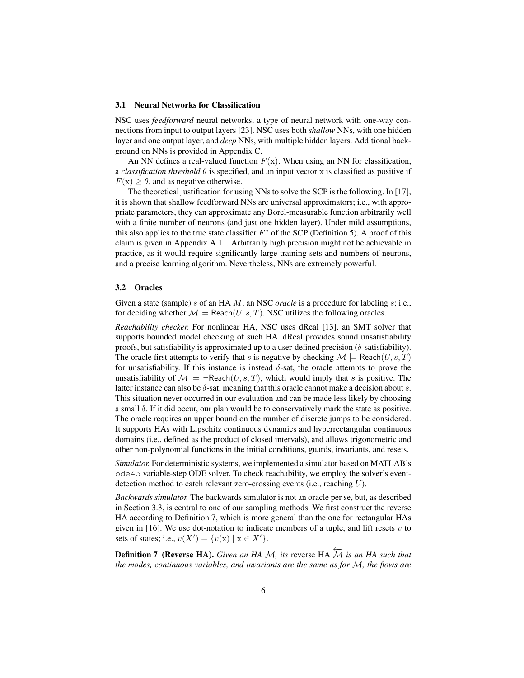#### 3.1 Neural Networks for Classification

NSC uses *feedforward* neural networks, a type of neural network with one-way connections from input to output layers [23]. NSC uses both *shallow* NNs, with one hidden layer and one output layer, and *deep* NNs, with multiple hidden layers. Additional background on NNs is provided in Appendix C.

An NN defines a real-valued function  $F(x)$ . When using an NN for classification, a *classification threshold* θ is specified, and an input vector x is classified as positive if  $F(x) > \theta$ , and as negative otherwise.

The theoretical justification for using NNs to solve the SCP is the following. In [17], it is shown that shallow feedforward NNs are universal approximators; i.e., with appropriate parameters, they can approximate any Borel-measurable function arbitrarily well with a finite number of neurons (and just one hidden layer). Under mild assumptions, this also applies to the true state classifier  $F^*$  of the SCP (Definition 5). A proof of this claim is given in Appendix A.1 . Arbitrarily high precision might not be achievable in practice, as it would require significantly large training sets and numbers of neurons, and a precise learning algorithm. Nevertheless, NNs are extremely powerful.

#### 3.2 Oracles

Given a state (sample) s of an HA M, an NSC *oracle* is a procedure for labeling s; i.e., for deciding whether  $M \models$  Reach $(U, s, T)$ . NSC utilizes the following oracles.

*Reachability checker.* For nonlinear HA, NSC uses dReal [13], an SMT solver that supports bounded model checking of such HA. dReal provides sound unsatisfiability proofs, but satisfiability is approximated up to a user-defined precision ( $\delta$ -satisfiability). The oracle first attempts to verify that s is negative by checking  $\mathcal{M} \models$  Reach $(U, s, T)$ for unsatisfiability. If this instance is instead  $\delta$ -sat, the oracle attempts to prove the unsatisfiability of  $\mathcal{M} \models \neg$ Reach $(U, s, T)$ , which would imply that s is positive. The latter instance can also be  $\delta$ -sat, meaning that this oracle cannot make a decision about s. This situation never occurred in our evaluation and can be made less likely by choosing a small  $\delta$ . If it did occur, our plan would be to conservatively mark the state as positive. The oracle requires an upper bound on the number of discrete jumps to be considered. It supports HAs with Lipschitz continuous dynamics and hyperrectangular continuous domains (i.e., defined as the product of closed intervals), and allows trigonometric and other non-polynomial functions in the initial conditions, guards, invariants, and resets.

*Simulator.* For deterministic systems, we implemented a simulator based on MATLAB's ode45 variable-step ODE solver. To check reachability, we employ the solver's eventdetection method to catch relevant zero-crossing events (i.e., reaching U).

*Backwards simulator.* The backwards simulator is not an oracle per se, but, as described in Section 3.3, is central to one of our sampling methods. We first construct the reverse HA according to Definition 7, which is more general than the one for rectangular HAs given in [16]. We use dot-notation to indicate members of a tuple, and lift resets  $v$  to sets of states; i.e.,  $v(X') = \{v(x) | x \in X'\}.$ 

**Definition 7** (Reverse HA). *Given an HA M, its* reverse HA  $\overleftarrow{M}$  *is an HA such that the modes, continuous variables, and invariants are the same as for* M*, the flows are*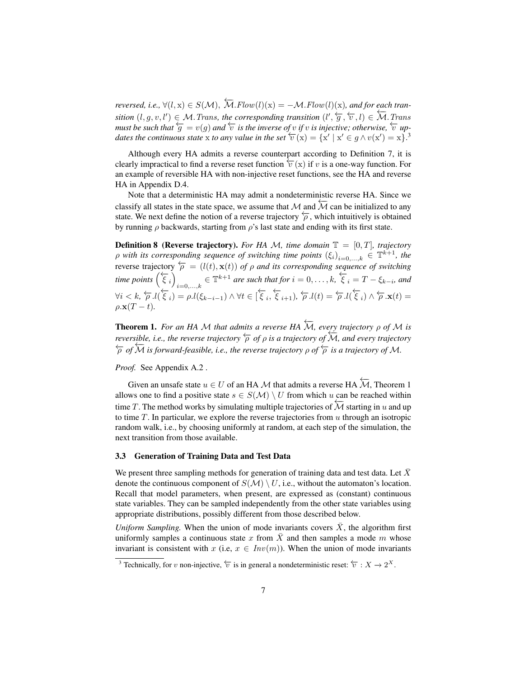${\it reversed, i.e.,}$   $\forall (l, {\rm x}) \in S(\mathcal{M}), \ \overleftarrow{\mathcal{M}}. Flow(l)({\rm x}) = -\mathcal{M}. Flow(l)({\rm x}),$  and for each tran $sition (l, g, v, l') \in \mathcal{M}.$  *Trans, the corresponding transition*  $(l', \overleftarrow{g}, \overleftarrow{v}, l) \in \overleftarrow{\mathcal{M}}.$  *Trans must be such that*  $\overleftarrow{g} = v(g)$  *and*  $\overleftarrow{v}$  *is the inverse of* v *if* v *is injective; otherwise,*  $\overleftarrow{v}$  *updates the continuous state* x *to any value in the set*  $\overleftarrow{v}(x) = \{x' | x' \in g \land v(x') = x\}$ .<sup>3</sup>

Although every HA admits a reverse counterpart according to Definition 7, it is clearly impractical to find a reverse reset function  $\overleftarrow{v}(x)$  if v is a one-way function. For an example of reversible HA with non-injective reset functions, see the HA and reverse HA in Appendix D.4.

Note that a deterministic HA may admit a nondeterministic reverse HA. Since we classify all states in the state space, we assume that  $\mathcal M$  and  $\overleftarrow{\mathcal M}$  can be initialized to any state. We next define the notion of a reverse trajectory  $\overleftarrow{\rho}$ , which intuitively is obtained by running  $\rho$  backwards, starting from  $\rho$ 's last state and ending with its first state.

**Definition 8 (Reverse trajectory).** *For HA M, time domain*  $\mathbb{T} = [0, T]$ *, trajectory*  $\rho$  with its corresponding sequence of switching time points  $(\xi_i)_{i=0,\dots,k} \in \mathbb{T}^{k+1}$ , the reverse trajectory  $\overleftarrow{\rho} = (l(t), \mathbf{x}(t))$  *of*  $\rho$  *and its corresponding sequence of switching time points*  $(\overleftarrow{\xi}_i)$  $i=0,\ldots,k$   $\in \mathbb{T}^{k+1}$  *are such that for*  $i=0,\ldots,k$ ,  $\overleftarrow{\xi}_i = T - \xi_{k-i}$ , and  $\forall i < k, \overleftarrow{\rho} . l(\overleftarrow{\xi}_i) = \rho . l(\xi_{k-i-1}) \wedge \forall t \in [\overleftarrow{\xi}_i, \overleftarrow{\xi}_{i+1}), \overleftarrow{\rho} . l(t) = \overleftarrow{\rho} . l(\overleftarrow{\xi}_i) \wedge \overleftarrow{\rho} . \mathbf{x}(t) =$  $\rho \cdot \mathbf{x}(T-t)$ .

**Theorem 1.** For an HA M that admits a reverse HA  $\overline{M}$ , every trajectory  $\rho$  of M is *reversible, i.e., the reverse trajectory*  $\overleftarrow{\rho}$  *of*  $\rho$  *is a trajectory of*  $\overleftarrow{\mathcal{M}}$ *, and every trajectory* ←−ρ *of* ←−M *is forward-feasible, i.e., the reverse trajectory* <sup>ρ</sup> *of* ←−<sup>ρ</sup> *is a trajectory of* <sup>M</sup>*.*

#### *Proof.* See Appendix A.2 .

Given an unsafe state  $u \in U$  of an HA  $\mathcal M$  that admits a reverse HA  $\overleftarrow{\mathcal M}$ , Theorem 1 allows one to find a positive state  $s \in S(\mathcal{M}) \setminus U$  from which u can be reached within time T. The method works by simulating multiple trajectories of  $\overline{\mathcal{M}}$  starting in u and up to time  $T$ . In particular, we explore the reverse trajectories from  $u$  through an isotropic random walk, i.e., by choosing uniformly at random, at each step of the simulation, the next transition from those available.

#### 3.3 Generation of Training Data and Test Data

We present three sampling methods for generation of training data and test data. Let  $\bar{X}$ denote the continuous component of  $S(\mathcal{M}) \setminus U$ , i.e., without the automaton's location. Recall that model parameters, when present, are expressed as (constant) continuous state variables. They can be sampled independently from the other state variables using appropriate distributions, possibly different from those described below.

*Uniform Sampling.* When the union of mode invariants covers  $\overline{X}$ , the algorithm first uniformly samples a continuous state x from  $\overline{X}$  and then samples a mode m whose invariant is consistent with x (i.e,  $x \in Inv(m)$ ). When the union of mode invariants

<sup>&</sup>lt;sup>3</sup> Technically, for v non-injective,  $\overleftarrow{v}$  is in general a nondeterministic reset:  $\overleftarrow{v}$  :  $X \to 2^X$ .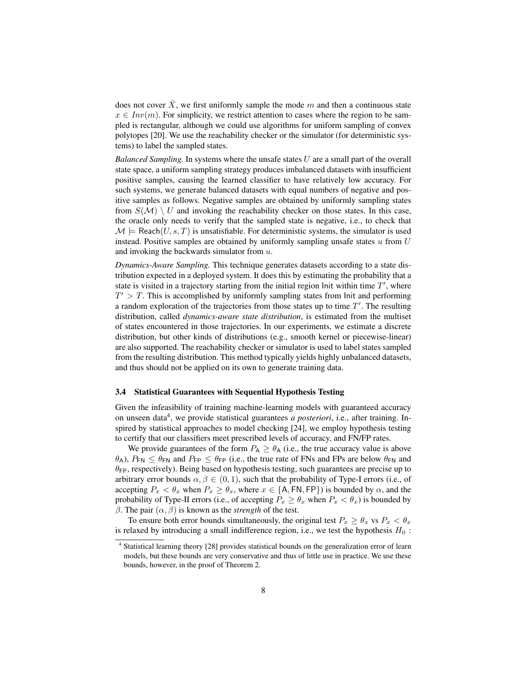does not cover  $\bar{X}$ , we first uniformly sample the mode m and then a continuous state  $x \in Inv(m)$ . For simplicity, we restrict attention to cases where the region to be sampled is rectangular, although we could use algorithms for uniform sampling of convex polytopes [20]. We use the reachability checker or the simulator (for deterministic systems) to label the sampled states.

*Balanced Sampling.* In systems where the unsafe states U are a small part of the overall state space, a uniform sampling strategy produces imbalanced datasets with insufficient positive samples, causing the learned classifier to have relatively low accuracy. For such systems, we generate balanced datasets with equal numbers of negative and positive samples as follows. Negative samples are obtained by uniformly sampling states from  $S(\mathcal{M}) \setminus U$  and invoking the reachability checker on those states. In this case, the oracle only needs to verify that the sampled state is negative, i.e., to check that  $\mathcal{M} \models$  Reach $(U, s, T)$  is unsatisfiable. For deterministic systems, the simulator is used instead. Positive samples are obtained by uniformly sampling unsafe states  $u$  from  $U$ and invoking the backwards simulator from u.

*Dynamics-Aware Sampling.* This technique generates datasets according to a state distribution expected in a deployed system. It does this by estimating the probability that a state is visited in a trajectory starting from the initial region lnit within time  $T'$ , where  $T' > T$ . This is accomplished by uniformly sampling states from lnit and performing a random exploration of the trajectories from those states up to time  $T'$ . The resulting distribution, called *dynamics-aware state distribution*, is estimated from the multiset of states encountered in those trajectories. In our experiments, we estimate a discrete distribution, but other kinds of distributions (e.g., smooth kernel or piecewise-linear) are also supported. The reachability checker or simulator is used to label states sampled from the resulting distribution. This method typically yields highly unbalanced datasets, and thus should not be applied on its own to generate training data.

#### 3.4 Statistical Guarantees with Sequential Hypothesis Testing

Given the infeasibility of training machine-learning models with guaranteed accuracy on unseen data<sup>4</sup>, we provide statistical guarantees *a posteriori*, i.e., after training. Inspired by statistical approaches to model checking [24], we employ hypothesis testing to certify that our classifiers meet prescribed levels of accuracy, and FN/FP rates.

We provide guarantees of the form  $P_A \ge \theta_A$  (i.e., the true accuracy value is above  $\theta_A$ ),  $P_{FN} \leq \theta_{FN}$  and  $P_{FP} \leq \theta_{FP}$  (i.e., the true rate of FNs and FPs are below  $\theta_{FN}$  and  $\theta_{\text{FP}}$ , respectively). Being based on hypothesis testing, such guarantees are precise up to arbitrary error bounds  $\alpha, \beta \in (0, 1)$ , such that the probability of Type-I errors (i.e., of accepting  $P_x < \theta_x$  when  $P_x \ge \theta_x$ , where  $x \in \{A, FN, FP\}$ ) is bounded by  $\alpha$ , and the probability of Type-II errors (i.e., of accepting  $P_x \ge \theta_x$  when  $P_x < \theta_x$ ) is bounded by β. The pair  $(α, β)$  is known as the *strength* of the test.

To ensure both error bounds simultaneously, the original test  $P_x \ge \theta_x$  vs  $P_x < \theta_x$ is relaxed by introducing a small indifference region, i.e., we test the hypothesis  $H_0$ :

<sup>&</sup>lt;sup>4</sup> Statistical learning theory [28] provides statistical bounds on the generalization error of learn models, but these bounds are very conservative and thus of little use in practice. We use these bounds, however, in the proof of Theorem 2.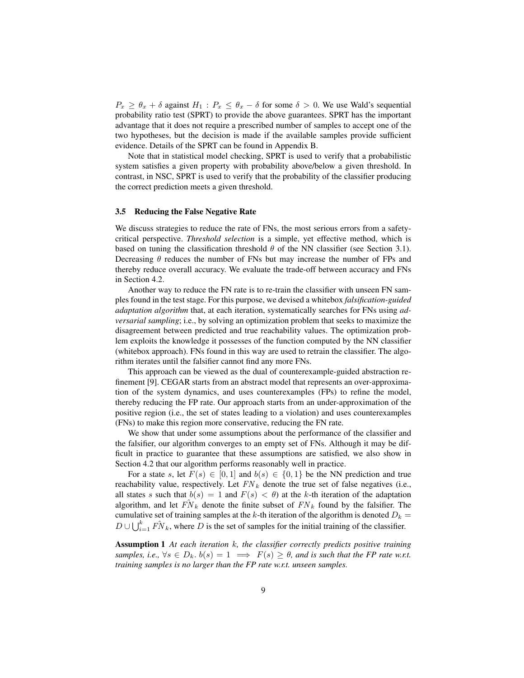$P_x \ge \theta_x + \delta$  against  $H_1 : P_x \le \theta_x - \delta$  for some  $\delta > 0$ . We use Wald's sequential probability ratio test (SPRT) to provide the above guarantees. SPRT has the important advantage that it does not require a prescribed number of samples to accept one of the two hypotheses, but the decision is made if the available samples provide sufficient evidence. Details of the SPRT can be found in Appendix B.

Note that in statistical model checking, SPRT is used to verify that a probabilistic system satisfies a given property with probability above/below a given threshold. In contrast, in NSC, SPRT is used to verify that the probability of the classifier producing the correct prediction meets a given threshold.

#### 3.5 Reducing the False Negative Rate

We discuss strategies to reduce the rate of FNs, the most serious errors from a safetycritical perspective. *Threshold selection* is a simple, yet effective method, which is based on tuning the classification threshold  $\theta$  of the NN classifier (see Section 3.1). Decreasing  $\theta$  reduces the number of FNs but may increase the number of FPs and thereby reduce overall accuracy. We evaluate the trade-off between accuracy and FNs in Section 4.2.

Another way to reduce the FN rate is to re-train the classifier with unseen FN samples found in the test stage. For this purpose, we devised a whitebox *falsification-guided adaptation algorithm* that, at each iteration, systematically searches for FNs using *adversarial sampling*; i.e., by solving an optimization problem that seeks to maximize the disagreement between predicted and true reachability values. The optimization problem exploits the knowledge it possesses of the function computed by the NN classifier (whitebox approach). FNs found in this way are used to retrain the classifier. The algorithm iterates until the falsifier cannot find any more FNs.

This approach can be viewed as the dual of counterexample-guided abstraction refinement [9]. CEGAR starts from an abstract model that represents an over-approximation of the system dynamics, and uses counterexamples (FPs) to refine the model, thereby reducing the FP rate. Our approach starts from an under-approximation of the positive region (i.e., the set of states leading to a violation) and uses counterexamples (FNs) to make this region more conservative, reducing the FN rate.

We show that under some assumptions about the performance of the classifier and the falsifier, our algorithm converges to an empty set of FNs. Although it may be difficult in practice to guarantee that these assumptions are satisfied, we also show in Section 4.2 that our algorithm performs reasonably well in practice.

For a state s, let  $F(s) \in [0,1]$  and  $b(s) \in \{0,1\}$  be the NN prediction and true reachability value, respectively. Let  $FN_k$  denote the true set of false negatives (i.e., all states s such that  $b(s) = 1$  and  $F(s) < \theta$ ) at the k-th iteration of the adaptation algorithm, and let  $\hat{FN}_k$  denote the finite subset of  $\hat{FN}_k$  found by the falsifier. The cumulative set of training samples at the k-th iteration of the algorithm is denoted  $D_k =$  $D \cup \bigcup_{i=1}^k F\hat{N}_k$ , where  $D$  is the set of samples for the initial training of the classifier.

Assumption 1 *At each iteration* k*, the classifier correctly predicts positive training samples, i.e.,*  $\forall s \in D_k$ .  $b(s) = 1 \implies F(s) \geq \theta$ , and is such that the FP rate w.r.t. *training samples is no larger than the FP rate w.r.t. unseen samples.*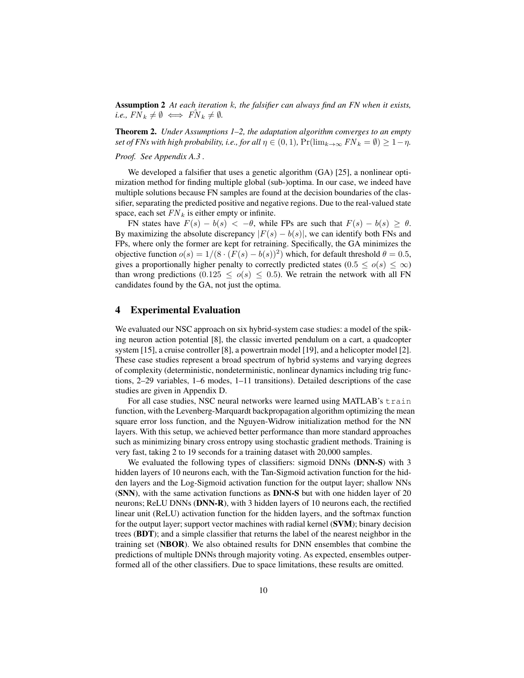Assumption 2 *At each iteration* k*, the falsifier can always find an FN when it exists,*  $i.e., FN_k \neq \emptyset \iff \hat{FN}_k \neq \emptyset.$ 

Theorem 2. *Under Assumptions 1–2, the adaptation algorithm converges to an empty set of FNs with high probability, i.e., for all*  $\eta \in (0,1)$ ,  $Pr(\lim_{k\to\infty} FN_k = \emptyset) \geq 1-\eta$ .

*Proof. See Appendix A.3 .*

We developed a falsifier that uses a genetic algorithm  $(GA)$  [25], a nonlinear optimization method for finding multiple global (sub-)optima. In our case, we indeed have multiple solutions because FN samples are found at the decision boundaries of the classifier, separating the predicted positive and negative regions. Due to the real-valued state space, each set  $FN_k$  is either empty or infinite.

FN states have  $F(s) - b(s) < -\theta$ , while FPs are such that  $F(s) - b(s) \ge \theta$ . By maximizing the absolute discrepancy  $|F(s) - b(s)|$ , we can identify both FNs and FPs, where only the former are kept for retraining. Specifically, the GA minimizes the objective function  $o(s) = 1/(8 \cdot (F(s) - b(s))^2)$  which, for default threshold  $\theta = 0.5$ , gives a proportionally higher penalty to correctly predicted states (0.5  $\leq o(s) \leq \infty$ ) than wrong predictions (0.125  $\leq o(s) \leq 0.5$ ). We retrain the network with all FN candidates found by the GA, not just the optima.

### 4 Experimental Evaluation

We evaluated our NSC approach on six hybrid-system case studies: a model of the spiking neuron action potential [8], the classic inverted pendulum on a cart, a quadcopter system [15], a cruise controller [8], a powertrain model [19], and a helicopter model [2]. These case studies represent a broad spectrum of hybrid systems and varying degrees of complexity (deterministic, nondeterministic, nonlinear dynamics including trig functions, 2–29 variables, 1–6 modes, 1–11 transitions). Detailed descriptions of the case studies are given in Appendix D.

For all case studies, NSC neural networks were learned using MATLAB's train function, with the Levenberg-Marquardt backpropagation algorithm optimizing the mean square error loss function, and the Nguyen-Widrow initialization method for the NN layers. With this setup, we achieved better performance than more standard approaches such as minimizing binary cross entropy using stochastic gradient methods. Training is very fast, taking 2 to 19 seconds for a training dataset with 20,000 samples.

We evaluated the following types of classifiers: sigmoid DNNs (DNN-S) with 3 hidden layers of 10 neurons each, with the Tan-Sigmoid activation function for the hidden layers and the Log-Sigmoid activation function for the output layer; shallow NNs (SNN), with the same activation functions as DNN-S but with one hidden layer of 20 neurons; ReLU DNNs (DNN-R), with 3 hidden layers of 10 neurons each, the rectified linear unit (ReLU) activation function for the hidden layers, and the softmax function for the output layer; support vector machines with radial kernel (SVM); binary decision trees (BDT); and a simple classifier that returns the label of the nearest neighbor in the training set (NBOR). We also obtained results for DNN ensembles that combine the predictions of multiple DNNs through majority voting. As expected, ensembles outperformed all of the other classifiers. Due to space limitations, these results are omitted.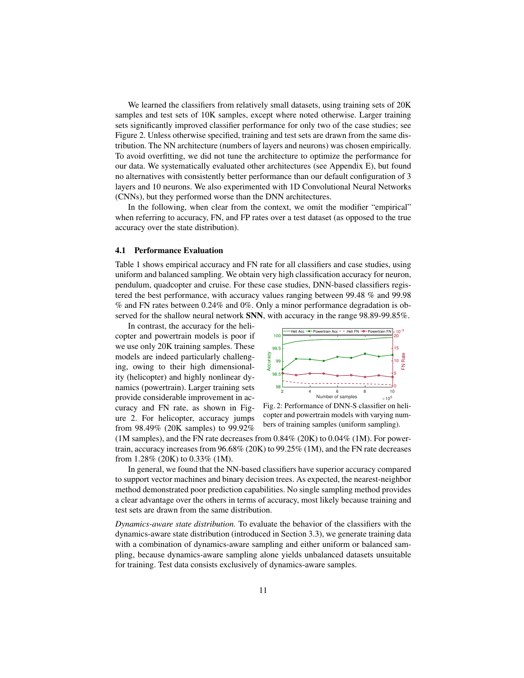We learned the classifiers from relatively small datasets, using training sets of 20K samples and test sets of 10K samples, except where noted otherwise. Larger training sets significantly improved classifier performance for only two of the case studies; see Figure 2. Unless otherwise specified, training and test sets are drawn from the same distribution. The NN architecture (numbers of layers and neurons) was chosen empirically. To avoid overfitting, we did not tune the architecture to optimize the performance for our data. We systematically evaluated other architectures (see Appendix E), but found no alternatives with consistently better performance than our default configuration of 3 layers and 10 neurons. We also experimented with 1D Convolutional Neural Networks (CNNs), but they performed worse than the DNN architectures.

In the following, when clear from the context, we omit the modifier "empirical" when referring to accuracy, FN, and FP rates over a test dataset (as opposed to the true accuracy over the state distribution).

#### 4.1 Performance Evaluation

Table 1 shows empirical accuracy and FN rate for all classifiers and case studies, using uniform and balanced sampling. We obtain very high classification accuracy for neuron, pendulum, quadcopter and cruise. For these case studies, DNN-based classifiers registered the best performance, with accuracy values ranging between 99.48 % and 99.98 % and FN rates between 0.24% and 0%. Only a minor performance degradation is observed for the shallow neural network SNN, with accuracy in the range 98.89-99.85%.

In contrast, the accuracy for the helicopter and powertrain models is poor if we use only 20K training samples. These models are indeed particularly challenging, owing to their high dimensionality (helicopter) and highly nonlinear dynamics (powertrain). Larger training sets provide considerable improvement in accuracy and FN rate, as shown in Figure 2. For helicopter, accuracy jumps from 98.49% (20K samples) to 99.92%



Fig. 2: Performance of DNN-S classifier on helicopter and powertrain models with varying numbers of training samples (uniform sampling).

(1M samples), and the FN rate decreases from 0.84% (20K) to 0.04% (1M). For powertrain, accuracy increases from 96.68% (20K) to 99.25% (1M), and the FN rate decreases from 1.28% (20K) to 0.33% (1M).

In general, we found that the NN-based classifiers have superior accuracy compared to support vector machines and binary decision trees. As expected, the nearest-neighbor method demonstrated poor prediction capabilities. No single sampling method provides a clear advantage over the others in terms of accuracy, most likely because training and test sets are drawn from the same distribution.

*Dynamics-aware state distribution.* To evaluate the behavior of the classifiers with the dynamics-aware state distribution (introduced in Section 3.3), we generate training data with a combination of dynamics-aware sampling and either uniform or balanced sampling, because dynamics-aware sampling alone yields unbalanced datasets unsuitable for training. Test data consists exclusively of dynamics-aware samples.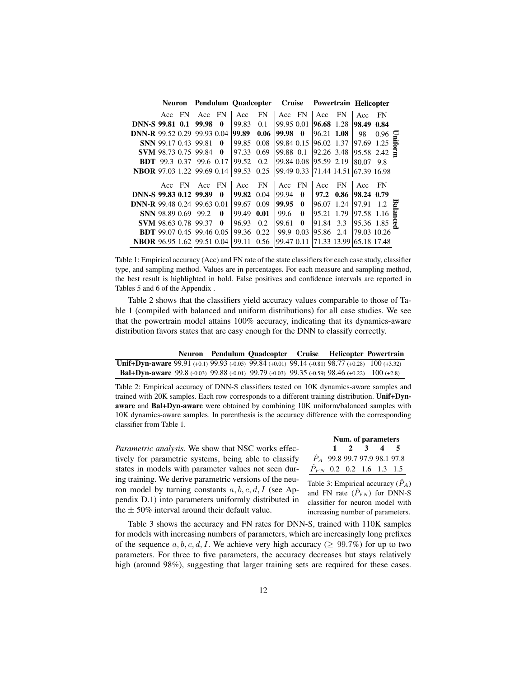|                                   | <b>Neuron</b>          |    |            |              | Pendulum Quadcopter |           |            |              |                 | Cruise Powertrain Helicopter       |             |      |           |
|-----------------------------------|------------------------|----|------------|--------------|---------------------|-----------|------------|--------------|-----------------|------------------------------------|-------------|------|-----------|
|                                   | Acc                    | FN | Acc FN     |              | Acc                 | <b>FN</b> | Acc FN     |              | Acc             | FN                                 | Acc         | FN   |           |
| DNN-S 99.81 0.1                   |                        |    | 99.98      | - 0          | 99.83               | 0.1       | 99.95 0.01 |              | $ 96.68 \t1.28$ |                                    | 98.49       | 0.84 |           |
| $DNN-R$   99.52 0.29              |                        |    | 99.93 0.04 |              | 99.89               | 0.06      | 99.98      | $\bf{0}$     | 96.21 1.08      |                                    | 98          | 0.96 | $\Xi$     |
|                                   | <b>SNN</b> 99.17 0.43  |    | 99.81      | $\mathbf{0}$ | 99.85               | 0.08      | 99.84 0.15 |              | $ 96.02 \t1.37$ |                                    | 97.69       | 1.25 | 墨         |
|                                   | <b>SVM</b> 98.73 0.75  |    | 99.84      | $\mathbf{0}$ | 97.33               | 0.69      | 99.88 0.1  |              | 92.26 3.48      |                                    | 95.58 2.42  |      | 目         |
| <b>BDT</b>                        | 99.3 0.37              |    | 99.6 0.17  |              | 99.52               | 0.2       | 99.84 0.08 |              | 95.59 2.19      |                                    | 80.07       | 9.8  |           |
| <b>NBOR</b> 97.03 1.22 99.69 0.14 |                        |    |            |              | 99.53               | 0.25      |            |              |                 | 99.49 0.33 71.44 14.51 67.39 16.98 |             |      |           |
|                                   | Acc FN                 |    | Acc FN     |              | Acc                 | FN        | Acc        | FN           | Acc             | FN                                 | Acc         | FN   |           |
| DNN-S 99.83 0.12 99.89            |                        |    |            | $\mathbf{0}$ | 99.82               | 0.04      | 99.94      | $\mathbf{0}$ | 97.2            | 0.86                               | 98.24       | 0.79 |           |
| $DNN-R$   99.48 0.24              |                        |    | 99.63 0.01 |              | 99.67               | 0.09      | 99.95      | 0            | 96.07           | 1.24                               | 97.91       | 1.2  | Ba        |
|                                   | SNN 98.89 0.69         |    | 99.2       | $\mathbf{0}$ | 99.49               | 0.01      | 99.6       | $\mathbf{0}$ | 95.21           | 1.79                               | 97.58 1.16  |      | E         |
|                                   | <b>SVM</b> 98.63 0.78  |    | 99.37      | $\mathbf{0}$ | 96.93               | 0.2       | 99.61      | $\mathbf 0$  | 91.84           | 3.3                                | 95.36 1.85  |      | <b>GC</b> |
|                                   | <b>BDT</b>  99.07 0.45 |    | 99.46 0.05 |              | 99.36               | 0.22      | 99.9       | 0.03         | 95.86           | 2.4                                | 79.03 10.26 |      |           |
| <b>NBOR</b> 96.95 1.62 99.51 0.04 |                        |    |            |              | 99.11               | 0.56      | 99.47 0.11 |              |                 | 71.33 13.99   65.18 17.48          |             |      |           |

Table 1: Empirical accuracy (Acc) and FN rate of the state classifiers for each case study, classifier type, and sampling method. Values are in percentages. For each measure and sampling method, the best result is highlighted in bold. False positives and confidence intervals are reported in Tables 5 and 6 of the Appendix .

Table 2 shows that the classifiers yield accuracy values comparable to those of Table 1 (compiled with balanced and uniform distributions) for all case studies. We see that the powertrain model attains 100% accuracy, indicating that its dynamics-aware distribution favors states that are easy enough for the DNN to classify correctly.

|                                                                                                        |  | Neuron Pendulum Quadcopter Cruise Helicopter Powertrain |  |  |
|--------------------------------------------------------------------------------------------------------|--|---------------------------------------------------------|--|--|
| <b>Unif+Dyn-aware</b> 99.91 (+0.1) 99.93 (-0.05) 99.84 (+0.01) 99.14 (-0.81) 98.77 (+0.28) 100 (+3.32) |  |                                                         |  |  |
| <b>Bal+Dyn-aware</b> 99.8 (-0.03) 99.88 (-0.01) 99.79 (-0.03) 99.35 (-0.59) 98.46 (+0.22) 100 (+2.8)   |  |                                                         |  |  |

Table 2: Empirical accuracy of DNN-S classifiers tested on 10K dynamics-aware samples and trained with 20K samples. Each row corresponds to a different training distribution. Unif+Dynaware and Bal+Dyn-aware were obtained by combining 10K uniform/balanced samples with 10K dynamics-aware samples. In parenthesis is the accuracy difference with the corresponding classifier from Table 1.

*Parametric analysis.* We show that NSC works effectively for parametric systems, being able to classify states in models with parameter values not seen during training. We derive parametric versions of the neuron model by turning constants  $a, b, c, d, I$  (see Appendix D.1) into parameters uniformly distributed in the  $\pm$  50% interval around their default value.

|                                    |                                      | Num. of parameters  |  |
|------------------------------------|--------------------------------------|---------------------|--|
|                                    |                                      | $1 \t2 \t3 \t4 \t5$ |  |
|                                    | $\hat{P}_A$ 99.8 99.7 97.9 98.1 97.8 |                     |  |
| $\hat{P}_{FN}$ 0.2 0.2 1.6 1.3 1.5 |                                      |                     |  |

Table 3: Empirical accuracy  $(\hat{P}_A)$ and FN rate  $(\hat{P}_{FN})$  for DNN-S classifier for neuron model with increasing number of parameters.

Table 3 shows the accuracy and FN rates for DNN-S, trained with 110K samples for models with increasing numbers of parameters, which are increasingly long prefixes of the sequence a, b, c, d, I. We achieve very high accuracy ( $> 99.7\%$ ) for up to two parameters. For three to five parameters, the accuracy decreases but stays relatively high (around 98%), suggesting that larger training sets are required for these cases.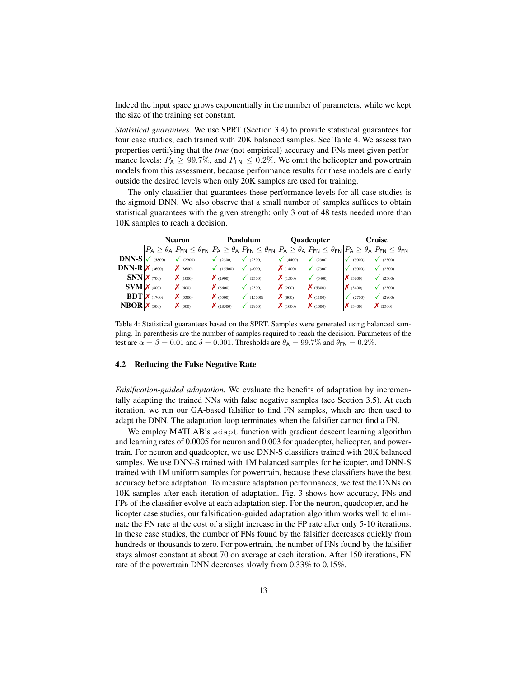Indeed the input space grows exponentially in the number of parameters, while we kept the size of the training set constant.

*Statistical guarantees.* We use SPRT (Section 3.4) to provide statistical guarantees for four case studies, each trained with 20K balanced samples. See Table 4. We assess two properties certifying that the *true* (not empirical) accuracy and FNs meet given performance levels:  $P_A \ge 99.7\%$ , and  $P_{FN} \le 0.2\%$ . We omit the helicopter and powertrain models from this assessment, because performance results for these models are clearly outside the desired levels when only 20K samples are used for training.

The only classifier that guarantees these performance levels for all case studies is the sigmoid DNN. We also observe that a small number of samples suffices to obtain statistical guarantees with the given strength: only 3 out of 48 tests needed more than 10K samples to reach a decision.

|                     |                   | <b>Neuron</b>           |                   | Pendulum                                                                                                                                                                                                                                                                                                                   |                        | <b>Ouadcopter</b> |        | Cruise |
|---------------------|-------------------|-------------------------|-------------------|----------------------------------------------------------------------------------------------------------------------------------------------------------------------------------------------------------------------------------------------------------------------------------------------------------------------------|------------------------|-------------------|--------|--------|
|                     |                   |                         |                   | $ P_{\mathsf{A}}\geq\theta_{\mathsf{A}} P_{\mathsf{FN}}\leq\theta_{\mathsf{FN}} P_{\mathsf{A}}\geq\theta_{\mathsf{A}} P_{\mathsf{FN}}\leq\theta_{\mathsf{FN}} P_{\mathsf{A}}\geq\theta_{\mathsf{A}} P_{\mathsf{FN}}\leq\theta_{\mathsf{FN}} P_{\mathsf{A}}\geq\theta_{\mathsf{A}} P_{\mathsf{FN}}\leq\theta_{\mathsf{FN}}$ |                        |                   |        |        |
| $DNN-S\vert\sqrt{}$ | (5800)            | (2900)                  | (2300)<br>$\cdot$ | (2300)<br>√                                                                                                                                                                                                                                                                                                                | (4400)<br>M            | (2300)<br>v       | (3000) | (2300) |
| DNN-R $X$ (3600)    |                   | $X_{(8600)}$            | (15500)           | (4000)                                                                                                                                                                                                                                                                                                                     | X(1400)                | (7300)            | (3000) | (2300) |
|                     | $SNN X_{(700)}$   | $X_{(1000)}$            | X(2900)           | (2300)                                                                                                                                                                                                                                                                                                                     | X(1500)                | (3400)            | (3600) | (2300) |
| $SWM X$ (400)       |                   | $\boldsymbol{X}$ (600)  | $X_{(6600)}$      | (2300)                                                                                                                                                                                                                                                                                                                     | $X_{(200)}$            | $X_{(5300)}$      | (3400) | (2300) |
|                     | $BDT \chi$ (1700) | $\boldsymbol{X}$ (3300) | X(6300)           | (15000)                                                                                                                                                                                                                                                                                                                    | $\boldsymbol{X}$ (800) | X(1100)           | (2700) | (2900) |
| $NBOR X$ (300)      |                   | $X_{(300)}$             | X(28500)          | (2900)                                                                                                                                                                                                                                                                                                                     | $\mathsf{X}$ (1000)    | $X_{(1300)}$      | (3400) | (2300) |

Table 4: Statistical guarantees based on the SPRT. Samples were generated using balanced sampling. In parenthesis are the number of samples required to reach the decision. Parameters of the test are  $\alpha = \beta = 0.01$  and  $\delta = 0.001$ . Thresholds are  $\theta_A = 99.7\%$  and  $\theta_{FN} = 0.2\%$ .

#### 4.2 Reducing the False Negative Rate

*Falsification-guided adaptation.* We evaluate the benefits of adaptation by incrementally adapting the trained NNs with false negative samples (see Section 3.5). At each iteration, we run our GA-based falsifier to find FN samples, which are then used to adapt the DNN. The adaptation loop terminates when the falsifier cannot find a FN.

We employ MATLAB's adapt function with gradient descent learning algorithm and learning rates of 0.0005 for neuron and 0.003 for quadcopter, helicopter, and powertrain. For neuron and quadcopter, we use DNN-S classifiers trained with 20K balanced samples. We use DNN-S trained with 1M balanced samples for helicopter, and DNN-S trained with 1M uniform samples for powertrain, because these classifiers have the best accuracy before adaptation. To measure adaptation performances, we test the DNNs on 10K samples after each iteration of adaptation. Fig. 3 shows how accuracy, FNs and FPs of the classifier evolve at each adaptation step. For the neuron, quadcopter, and helicopter case studies, our falsification-guided adaptation algorithm works well to eliminate the FN rate at the cost of a slight increase in the FP rate after only 5-10 iterations. In these case studies, the number of FNs found by the falsifier decreases quickly from hundreds or thousands to zero. For powertrain, the number of FNs found by the falsifier stays almost constant at about 70 on average at each iteration. After 150 iterations, FN rate of the powertrain DNN decreases slowly from 0.33% to 0.15%.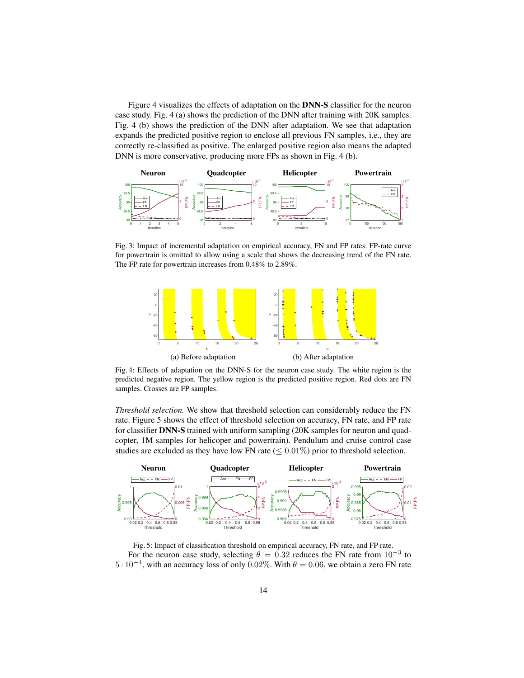Figure 4 visualizes the effects of adaptation on the DNN-S classifier for the neuron case study. Fig. 4 (a) shows the prediction of the DNN after training with 20K samples. Fig. 4 (b) shows the prediction of the DNN after adaptation. We see that adaptation expands the predicted positive region to enclose all previous FN samples, i.e., they are correctly re-classified as positive. The enlarged positive region also means the adapted DNN is more conservative, producing more FPs as shown in Fig. 4 (b).



Fig. 3: Impact of incremental adaptation on empirical accuracy, FN and FP rates. FP-rate curve for powertrain is omitted to allow using a scale that shows the decreasing trend of the FN rate. The FP rate for powertrain increases from 0.48% to 2.89%.



Fig. 4: Effects of adaptation on the DNN-S for the neuron case study. The white region is the predicted negative region. The yellow region is the predicted positive region. Red dots are FN samples. Crosses are FP samples.

*Threshold selection.* We show that threshold selection can considerably reduce the FN rate. Figure 5 shows the effect of threshold selection on accuracy, FN rate, and FP rate for classifier DNN-S trained with uniform sampling (20K samples for neuron and quadcopter, 1M samples for helicoper and powertrain). Pendulum and cruise control case studies are excluded as they have low FN rate ( $\leq 0.01\%$ ) prior to threshold selection.



Fig. 5: Impact of classification threshold on empirical accuracy, FN rate, and FP rate. For the neuron case study, selecting  $\theta = 0.32$  reduces the FN rate from  $10^{-3}$  to  $5 \cdot 10^{-4}$ , with an accuracy loss of only 0.02%. With  $\theta = 0.06$ , we obtain a zero FN rate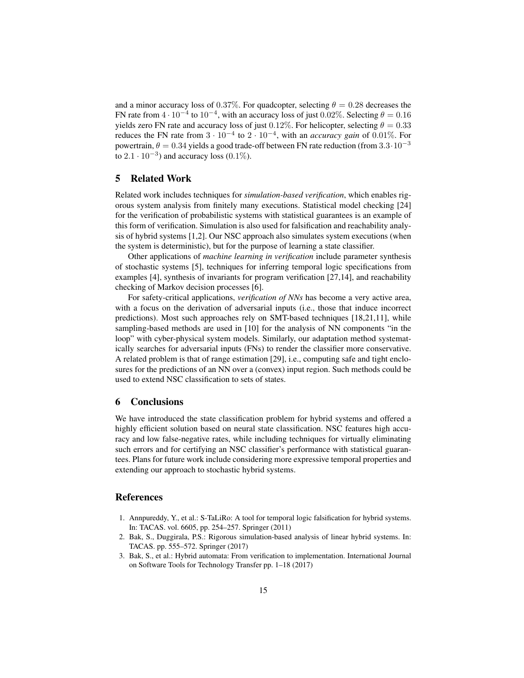and a minor accuracy loss of 0.37%. For quadcopter, selecting  $\theta = 0.28$  decreases the FN rate from  $4 \cdot 10^{-4}$  to  $10^{-4}$ , with an accuracy loss of just 0.02%. Selecting  $\theta = 0.16$ yields zero FN rate and accuracy loss of just 0.12%. For helicopter, selecting  $\theta = 0.33$ reduces the FN rate from  $3 \cdot 10^{-4}$  to  $2 \cdot 10^{-4}$ , with an *accuracy gain* of 0.01%. For powertrain,  $\theta = 0.34$  yields a good trade-off between FN rate reduction (from 3.3·10<sup>-3</sup> to  $2.1 \cdot 10^{-3}$ ) and accuracy loss (0.1%).

# 5 Related Work

Related work includes techniques for *simulation-based verification*, which enables rigorous system analysis from finitely many executions. Statistical model checking [24] for the verification of probabilistic systems with statistical guarantees is an example of this form of verification. Simulation is also used for falsification and reachability analysis of hybrid systems [1,2]. Our NSC approach also simulates system executions (when the system is deterministic), but for the purpose of learning a state classifier.

Other applications of *machine learning in verification* include parameter synthesis of stochastic systems [5], techniques for inferring temporal logic specifications from examples [4], synthesis of invariants for program verification [27,14], and reachability checking of Markov decision processes [6].

For safety-critical applications, *verification of NNs* has become a very active area, with a focus on the derivation of adversarial inputs (i.e., those that induce incorrect predictions). Most such approaches rely on SMT-based techniques [18,21,11], while sampling-based methods are used in [10] for the analysis of NN components "in the loop" with cyber-physical system models. Similarly, our adaptation method systematically searches for adversarial inputs (FNs) to render the classifier more conservative. A related problem is that of range estimation [29], i.e., computing safe and tight enclosures for the predictions of an NN over a (convex) input region. Such methods could be used to extend NSC classification to sets of states.

### 6 Conclusions

We have introduced the state classification problem for hybrid systems and offered a highly efficient solution based on neural state classification. NSC features high accuracy and low false-negative rates, while including techniques for virtually eliminating such errors and for certifying an NSC classifier's performance with statistical guarantees. Plans for future work include considering more expressive temporal properties and extending our approach to stochastic hybrid systems.

#### References

- 1. Annpureddy, Y., et al.: S-TaLiRo: A tool for temporal logic falsification for hybrid systems. In: TACAS. vol. 6605, pp. 254–257. Springer (2011)
- 2. Bak, S., Duggirala, P.S.: Rigorous simulation-based analysis of linear hybrid systems. In: TACAS. pp. 555–572. Springer (2017)
- 3. Bak, S., et al.: Hybrid automata: From verification to implementation. International Journal on Software Tools for Technology Transfer pp. 1–18 (2017)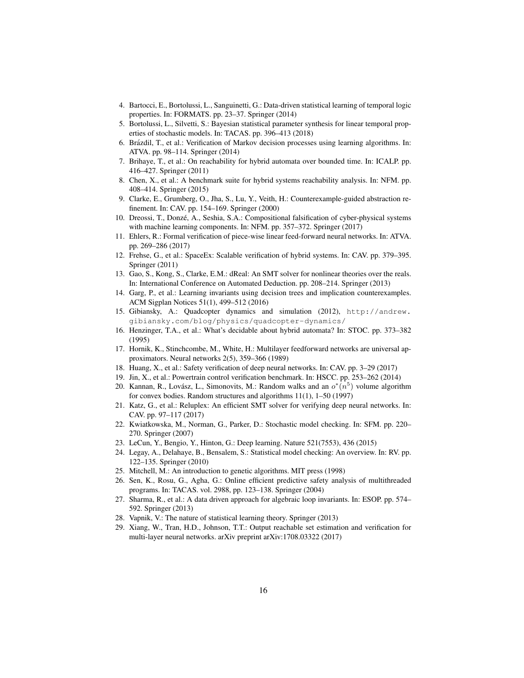- 4. Bartocci, E., Bortolussi, L., Sanguinetti, G.: Data-driven statistical learning of temporal logic properties. In: FORMATS. pp. 23–37. Springer (2014)
- 5. Bortolussi, L., Silvetti, S.: Bayesian statistical parameter synthesis for linear temporal properties of stochastic models. In: TACAS. pp. 396–413 (2018)
- 6. Brazdil, T., et al.: Verification of Markov decision processes using learning algorithms. In: ´ ATVA. pp. 98–114. Springer (2014)
- 7. Brihaye, T., et al.: On reachability for hybrid automata over bounded time. In: ICALP. pp. 416–427. Springer (2011)
- 8. Chen, X., et al.: A benchmark suite for hybrid systems reachability analysis. In: NFM. pp. 408–414. Springer (2015)
- 9. Clarke, E., Grumberg, O., Jha, S., Lu, Y., Veith, H.: Counterexample-guided abstraction refinement. In: CAV. pp. 154–169. Springer (2000)
- 10. Dreossi, T., Donze, A., Seshia, S.A.: Compositional falsification of cyber-physical systems ´ with machine learning components. In: NFM. pp. 357–372. Springer (2017)
- 11. Ehlers, R.: Formal verification of piece-wise linear feed-forward neural networks. In: ATVA. pp. 269–286 (2017)
- 12. Frehse, G., et al.: SpaceEx: Scalable verification of hybrid systems. In: CAV. pp. 379–395. Springer (2011)
- 13. Gao, S., Kong, S., Clarke, E.M.: dReal: An SMT solver for nonlinear theories over the reals. In: International Conference on Automated Deduction. pp. 208–214. Springer (2013)
- 14. Garg, P., et al.: Learning invariants using decision trees and implication counterexamples. ACM Sigplan Notices 51(1), 499–512 (2016)
- 15. Gibiansky, A.: Quadcopter dynamics and simulation (2012), http://andrew. gibiansky.com/blog/physics/quadcopter-dynamics/
- 16. Henzinger, T.A., et al.: What's decidable about hybrid automata? In: STOC. pp. 373–382 (1995)
- 17. Hornik, K., Stinchcombe, M., White, H.: Multilayer feedforward networks are universal approximators. Neural networks 2(5), 359–366 (1989)
- 18. Huang, X., et al.: Safety verification of deep neural networks. In: CAV. pp. 3–29 (2017)
- 19. Jin, X., et al.: Powertrain control verification benchmark. In: HSCC. pp. 253–262 (2014)
- 20. Kannan, R., Lovász, L., Simonovits, M.: Random walks and an  $o^*(n^5)$  volume algorithm for convex bodies. Random structures and algorithms 11(1), 1–50 (1997)
- 21. Katz, G., et al.: Reluplex: An efficient SMT solver for verifying deep neural networks. In: CAV. pp. 97–117 (2017)
- 22. Kwiatkowska, M., Norman, G., Parker, D.: Stochastic model checking. In: SFM. pp. 220– 270. Springer (2007)
- 23. LeCun, Y., Bengio, Y., Hinton, G.: Deep learning. Nature 521(7553), 436 (2015)
- 24. Legay, A., Delahaye, B., Bensalem, S.: Statistical model checking: An overview. In: RV. pp. 122–135. Springer (2010)
- 25. Mitchell, M.: An introduction to genetic algorithms. MIT press (1998)
- 26. Sen, K., Rosu, G., Agha, G.: Online efficient predictive safety analysis of multithreaded programs. In: TACAS. vol. 2988, pp. 123–138. Springer (2004)
- 27. Sharma, R., et al.: A data driven approach for algebraic loop invariants. In: ESOP. pp. 574– 592. Springer (2013)
- 28. Vapnik, V.: The nature of statistical learning theory. Springer (2013)
- 29. Xiang, W., Tran, H.D., Johnson, T.T.: Output reachable set estimation and verification for multi-layer neural networks. arXiv preprint arXiv:1708.03322 (2017)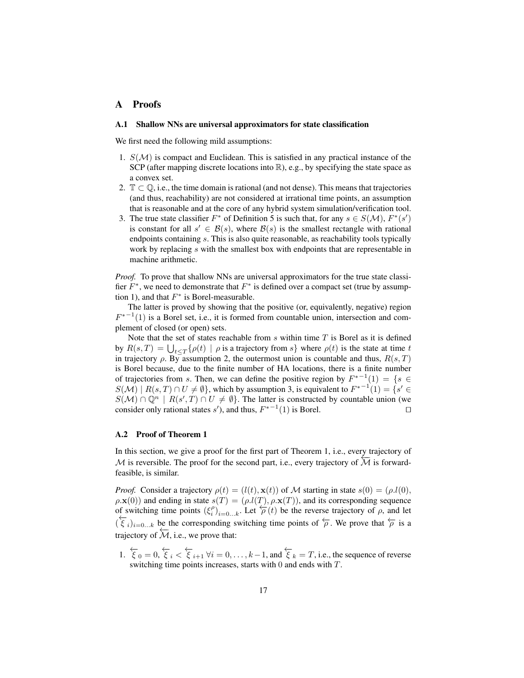# A Proofs

#### A.1 Shallow NNs are universal approximators for state classification

We first need the following mild assumptions:

- 1.  $S(\mathcal{M})$  is compact and Euclidean. This is satisfied in any practical instance of the SCP (after mapping discrete locations into  $\mathbb{R}$ ), e.g., by specifying the state space as a convex set.
- 2.  $\mathbb{T} \subset \mathbb{Q}$ , i.e., the time domain is rational (and not dense). This means that trajectories (and thus, reachability) are not considered at irrational time points, an assumption that is reasonable and at the core of any hybrid system simulation/verification tool.
- 3. The true state classifier  $F^*$  of Definition 5 is such that, for any  $s \in S(\mathcal{M})$ ,  $F^*(s')$ is constant for all  $s' \in \mathcal{B}(s)$ , where  $\mathcal{B}(s)$  is the smallest rectangle with rational endpoints containing s. This is also quite reasonable, as reachability tools typically work by replacing s with the smallest box with endpoints that are representable in machine arithmetic.

*Proof.* To prove that shallow NNs are universal approximators for the true state classifier  $F^*$ , we need to demonstrate that  $F^*$  is defined over a compact set (true by assumption 1), and that  $F^*$  is Borel-measurable.

The latter is proved by showing that the positive (or, equivalently, negative) region  $F^{*-1}(1)$  is a Borel set, i.e., it is formed from countable union, intersection and complement of closed (or open) sets.

Note that the set of states reachable from  $s$  within time  $T$  is Borel as it is defined by  $R(s,T) = \bigcup_{t \leq T} {\rho(t) \mid \rho \text{ is a trajectory from } s}$  where  $\rho(t)$  is the state at time t in trajectory  $\rho$ . By assumption 2, the outermost union is countable and thus,  $R(s, T)$ is Borel because, due to the finite number of HA locations, there is a finite number of trajectories from s. Then, we can define the positive region by  $F^{*-1}(1) = \{s \in$  $S(\mathcal{M}) \mid R(s,T) \cap U \neq \emptyset$ , which by assumption 3, is equivalent to  $F^{*-1}(1) = \{s' \in$  $S(\mathcal{M}) \cap \mathbb{Q}^n \mid R(s',T) \cap U \neq \emptyset$ . The latter is constructed by countable union (we consider only rational states s'), and thus,  $F^{*-1}(1)$  is Borel.

#### A.2 Proof of Theorem 1

In this section, we give a proof for the first part of Theorem 1, i.e., every trajectory of  $M$  is reversible. The proof for the second part, i.e., every trajectory of  $\overline{M}$  is forwardfeasible, is similar.

*Proof.* Consider a trajectory  $\rho(t) = (l(t), \mathbf{x}(t))$  of M starting in state  $s(0) = (\rho \cdot l(0),$  $\rho \cdot \mathbf{x}(0)$ ) and ending in state  $s(T) = (\rho \cdot l(T), \rho \cdot \mathbf{x}(T))$ , and its corresponding sequence of switching time points  $(\xi_i^{\rho})_{i=0...k}$ . Let  $\overleftarrow{\rho}(t)$  be the reverse trajectory of  $\rho$ , and let  $(\overleftarrow{\xi}_i)_{i=0...k}$  be the corresponding switching time points of  $\overleftarrow{\rho}$ . We prove that  $\overleftarrow{\rho}$  is a trajectory of  $\overleftarrow{\mathcal{M}}$ , i.e., we prove that:

1.  $\overleftarrow{\xi}_0 = 0$ ,  $\overleftarrow{\xi}_i < \overleftarrow{\xi}_{i+1}$   $\forall i = 0, \dots, k-1$ , and  $\overleftarrow{\xi}_k = T$ , i.e., the sequence of reverse switching time points increases, starts with  $0$  and ends with  $T$ .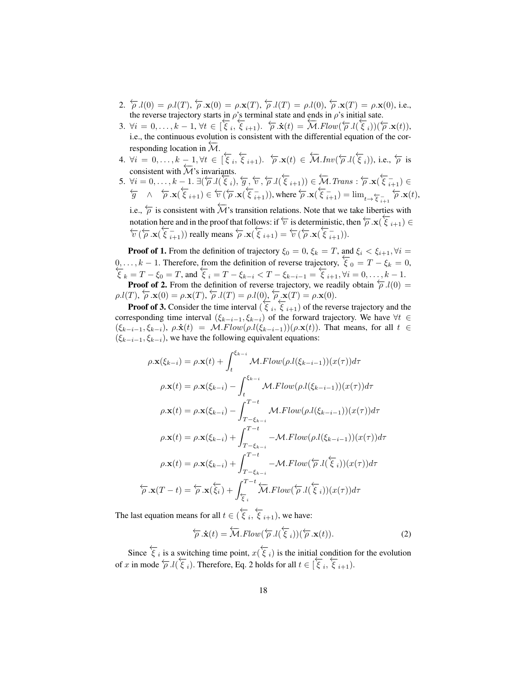- 2.  $\overleftarrow{\rho}$ ,  $l(0) = \rho$ ,  $l(T)$ ,  $\overleftarrow{\rho}$ ,  $\mathbf{x}(0) = \rho \cdot \mathbf{x}(T)$ ,  $\overleftarrow{\rho}$ ,  $l(T) = \rho$ ,  $l(0)$ ,  $\overleftarrow{\rho}$ ,  $\mathbf{x}(T) = \rho \cdot \mathbf{x}(0)$ , i.e., the reverse trajectory starts in  $\rho$ 's terminal state and ends in  $\rho$ 's initial sate.
- 3.  $\forall i = 0, \ldots, k-1, \forall t \in [\overleftarrow{\xi}_i, \overleftarrow{\xi}_{i+1})$ .  $\overleftarrow{\rho} \cdot \dot{\mathbf{x}}(t) = \overleftarrow{\mathcal{M}}. Flow(\overleftarrow{\rho} \cdot l(\overleftarrow{\xi}_i))(\overleftarrow{\rho} \cdot \mathbf{x}(t)),$ i.e., the continuous evolution is consistent with the differential equation of the corresponding location in  $\overleftarrow{\mathcal{M}}$ .
- 4.  $\forall i = 0, \ldots, k-1, \forall t \in [\overleftarrow{\xi}_i, \overleftarrow{\xi}_{i+1})$ .  $\overleftarrow{\rho} \cdot \mathbf{x}(t) \in \overleftarrow{\mathcal{M}}. Inv(\overleftarrow{\rho} \cdot l(\overleftarrow{\xi}_i))$ , i.e.,  $\overleftarrow{\rho}$  is consistent with  $\overline{\mathcal{M}}$ 's invariants.
- $5. \ \forall i = 0, \ldots, k-1. \ \exists (\overleftarrow{\rho} . l(\overleftarrow{\xi}_i), \overleftarrow{\rho}, \overleftarrow{\nu}, \overleftarrow{\rho} . l(\overleftarrow{\xi}_{i+1})) \in \overleftarrow{\mathcal{M}}. Trans: \overleftarrow{\rho} . \mathbf{x}(\overleftarrow{\xi}_{i+1}) \in$  $\overleftarrow{g} \quad \wedge \quad \overleftarrow{\rho} \cdot \mathbf{x}(\overleftarrow{\xi}_{i+1}) \in \overleftarrow{\rho} \cdot \mathbf{x}(\overleftarrow{\xi}_{i+1}), \text{ where } \overleftarrow{\rho} \cdot \mathbf{x}(\overleftarrow{\xi}_{i+1}) = \lim_{t \to \overleftarrow{\xi}_{i+1}} \overleftarrow{\rho} \cdot \mathbf{x}(t),$

i.e.,  $\overleftarrow{\rho}$  is consistent with  $\overleftarrow{\mathcal{M}}$ 's transition relations. Note that we take liberties with notation here and in the proof that follows: if  $\overleftarrow{v}$  is deterministic, then  $\overleftarrow{\rho}$   $\mathbf{x}(\overleftarrow{\xi}_{i+1}) \in$  $\overleftarrow{v}(\overleftarrow{\rho}.x(\overleftarrow{\xi}_{i+1}))$  really means  $\overleftarrow{\rho}.x(\overleftarrow{\xi}_{i+1}) = \overleftarrow{v}(\overleftarrow{\rho}.x(\overleftarrow{\xi}_{i+1})).$ 

**Proof of 1.** From the definition of trajectory  $\xi_0 = 0$ ,  $\xi_k = T$ , and  $\xi_i < \xi_{i+1}$ ,  $\forall i =$  $0, \ldots, k-1$ . Therefore, from the definition of reverse trajectory,  $\overleftarrow{\xi}_0 = T - \xi_k = 0$ ,  $\frac{0}{\xi}$ , ...,  $k-1$ . Therefore, from the definition of reverse trajectory,  $\overleftarrow{\xi}_0 = T - \xi_k = 0$ ,  $\overleftarrow{\xi}_k = T - \xi_0 = T$ , and  $\overleftarrow{\xi}_i = T - \xi_{k-i} < T - \xi_{k-i-1} = \overleftarrow{\xi}_{i+1}, \forall i = 0, \ldots, k-1$ . **Proof of 2.** From the definition of reverse trajectory, we readily obtain  $\overleftarrow{\rho}$ .l(0) =  $\rho.l(T), \overleftarrow{\rho} \cdot \mathbf{x}(0) = \rho \cdot \mathbf{x}(T), \overleftarrow{\rho} \cdot l(T) = \rho.l(0), \overleftarrow{\rho} \cdot \mathbf{x}(T) = \rho \cdot \mathbf{x}(0).$ 

**Proof of 3.** Consider the time interval  $(\overleftarrow{\xi}_i, \overleftarrow{\xi}_{i+1})$  of the reverse trajectory and the corresponding time interval ( $\xi_{k-i-1}, \xi_{k-i}$ ) of the forward trajectory. We have  $\forall t \in$  $(\xi_{k-i-1}, \xi_{k-i}), \ \rho.\dot{\mathbf{x}}(t) = \mathcal{M}.Flow(\rho.l(\xi_{k-i-1}))(\rho.\mathbf{x}(t)).$  That means, for all  $t \in$  $(\xi_{k-i-1}, \xi_{k-i})$ , we have the following equivalent equations:

$$
\rho \cdot \mathbf{x}(\xi_{k-i}) = \rho \cdot \mathbf{x}(t) + \int_{t}^{\xi_{k-i}} \mathcal{M}.Flow(\rho.l(\xi_{k-i-1}))(x(\tau))d\tau
$$
  
\n
$$
\rho \cdot \mathbf{x}(t) = \rho \cdot \mathbf{x}(\xi_{k-i}) - \int_{t}^{\xi_{k-i}} \mathcal{M}.Flow(\rho.l(\xi_{k-i-1}))(x(\tau))d\tau
$$
  
\n
$$
\rho \cdot \mathbf{x}(t) = \rho \cdot \mathbf{x}(\xi_{k-i}) - \int_{T-\xi_{k-i}}^{T-t} \mathcal{M}.Flow(\rho.l(\xi_{k-i-1}))(x(\tau))d\tau
$$
  
\n
$$
\rho \cdot \mathbf{x}(t) = \rho \cdot \mathbf{x}(\xi_{k-i}) + \int_{T-\xi_{k-i}}^{T-t} -\mathcal{M}.Flow(\rho.l(\xi_{k-i-1}))(x(\tau))d\tau
$$
  
\n
$$
\rho \cdot \mathbf{x}(t) = \rho \cdot \mathbf{x}(\xi_{k-i}) + \int_{T-\xi_{k-i}}^{T-t} -\mathcal{M}.Flow(\overleftarrow{\rho}.l(\overleftarrow{\xi}_{i}))(x(\tau))d\tau
$$
  
\n
$$
\overleftarrow{\rho} \cdot \mathbf{x}(T-t) = \overleftarrow{\rho} \cdot \mathbf{x}(\overleftarrow{\xi}_{i}) + \int_{\overleftarrow{\xi}_{i}}^{T-t} \overleftarrow{\mathcal{M}}.Flow(\overleftarrow{\rho}.l(\overleftarrow{\xi}_{i}))(x(\tau))d\tau
$$

The last equation means for all  $t \in (\overleftarrow{\xi}_i, \overleftarrow{\xi}_{i+1})$ , we have:

$$
\overleftarrow{\rho}.\dot{\mathbf{x}}(t) = \overleftarrow{\mathcal{M}}.\text{Flow}(\overleftarrow{\rho}.\text{l}(\overleftarrow{\xi}_{i}))(\overleftarrow{\rho}.\mathbf{x}(t)).\tag{2}
$$

Since  $\overleftarrow{\xi}_i$  is a switching time point,  $x(\overleftarrow{\xi}_i)$  is the initial condition for the evolution of x in mode  $\overleftarrow{\rho}$  .l( $\overleftarrow{\xi}_i$ ). Therefore, Eq. 2 holds for all  $t \in [\overleftarrow{\xi}_i, \overleftarrow{\xi}_{i+1})$ .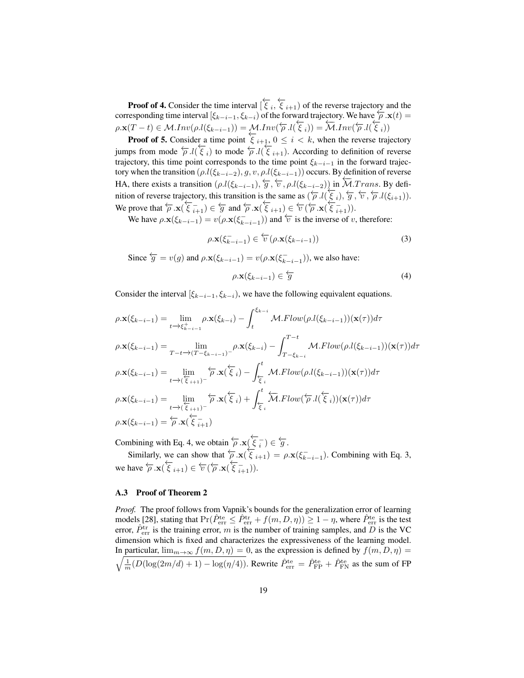**Proof of 4.** Consider the time interval  $[\overleftarrow{\xi}_i, \overleftarrow{\xi}_{i+1})$  of the reverse trajectory and the corresponding time interval  $[\xi_{k-i-1}, \xi_{k-i}]$  of the forward trajectory. We have  $\overleftarrow{\rho} \cdot \mathbf{x}(t) =$  $\rho \cdot \mathbf{x}(T-t) \in \mathcal{M}.Inv(\rho.\mathit{l}(\xi_{k-i-1})) = \mathcal{M}.Inv(\overleftarrow{\rho}.\mathit{l}(\overleftarrow{\xi}_i)) = \overleftarrow{\mathcal{M}}.Inv(\overleftarrow{\rho}.\mathit{l}(\overleftarrow{\xi}_i))$ 

**Proof of 5.** Consider a time point  $\overleftarrow{\xi}_{i+\underline{1}}, 0 \leq i \leq k$ , when the reverse trajectory jumps from mode  $\overleftarrow{\rho}$ . $l(\overleftarrow{\xi}_i)$  to mode  $\overleftarrow{\rho}$ . $l(\overleftarrow{\xi}_{i+1})$ . According to definition of reverse trajectory, this time point corresponds to the time point  $\xi_{k-i-1}$  in the forward trajectory when the transition  $(\rho l(\xi_{k-i-2}), g, v, \rho l(\xi_{k-i-1}))$  occurs. By definition of reverse HA, there exists a transition  $(\rho \cdot l(\xi_{k-i-1}), \overleftarrow{g}, \overleftarrow{v}, \rho \cdot l(\xi_{k-i-2}))$  in  $\overleftarrow{\mathcal{M}}$ . *Trans.* By definition of reverse trajectory, this transition is the same as  $(\overleftarrow{\rho} . l(\overleftarrow{\xi}_i), \overleftarrow{\sigma}, \overleftarrow{\nu}, \overleftarrow{\rho} . l(\xi_{i+1}))$ . We prove that  $\overleftarrow{\varphi} \cdot \mathbf{x} (\overleftarrow{\xi}_{i+1}) \in \overleftarrow{g}$  and  $\overleftarrow{\varphi} \cdot \mathbf{x} (\overleftarrow{\xi}_{i+1}) \in \overleftarrow{v} (\overleftarrow{\varphi} \cdot \mathbf{x} (\overleftarrow{\xi}_{i+1}))$ .

We have  $\rho \cdot \mathbf{x}(\xi_{k-i-1}) = v(\rho \cdot \mathbf{x}(\xi_{k-i-1}))$  and  $\overleftarrow{v}$  is the inverse of v, therefore:

$$
\rho \cdot \mathbf{x}(\xi_{k-i-1}^-) \in \overleftarrow{v} \left(\rho \cdot \mathbf{x}(\xi_{k-i-1})\right) \tag{3}
$$

Since  $\overleftarrow{g} = v(g)$  and  $\rho \cdot \mathbf{x}(\xi_{k-i-1}) = v(\rho \cdot \mathbf{x}(\xi_{k-i-1}^{-}))$ , we also have:

$$
\rho.\mathbf{x}(\xi_{k-i-1}) \in \overleftarrow{g} \tag{4}
$$

Consider the interval  $[\xi_{k-i-1}, \xi_{k-i}]$ , we have the following equivalent equations.

$$
\rho.\mathbf{x}(\xi_{k-i-1}) = \lim_{t \to \xi_{k-i-1}^+} \rho.\mathbf{x}(\xi_{k-i}) - \int_t^{\xi_{k-i}} \mathcal{M}.Flow(\rho.l(\xi_{k-i-1}))(\mathbf{x}(\tau))d\tau
$$
  
\n
$$
\rho.\mathbf{x}(\xi_{k-i-1}) = \lim_{T-t \to (T-\xi_{k-i-1})^-} \rho.\mathbf{x}(\xi_{k-i}) - \int_{T-\xi_{k-i}}^{T-t} \mathcal{M}.Flow(\rho.l(\xi_{k-i-1}))(\mathbf{x}(\tau))d\tau
$$
  
\n
$$
\rho.\mathbf{x}(\xi_{k-i-1}) = \lim_{t \to (\xi_{k+1})^-} \stackrel{\leftarrow}{\rho}.\mathbf{x}(\xi_i) - \int_{\xi_i}^t \mathcal{M}.Flow(\rho.l(\xi_{k-i-1}))(\mathbf{x}(\tau))d\tau
$$
  
\n
$$
\rho.\mathbf{x}(\xi_{k-i-1}) = \lim_{t \to (\xi_{k+1})^-} \stackrel{\leftarrow}{\rho}.\mathbf{x}(\xi_i) + \int_{\xi_i}^t \mathcal{M}.Flow(\overline{\rho}.l(\xi_i))(\mathbf{x}(\tau))d\tau
$$
  
\n
$$
\rho.\mathbf{x}(\xi_{k-i-1}) = \stackrel{\leftarrow}{\rho}.\mathbf{x}(\overleftarrow{\xi}_{i+1})
$$

Combining with Eq. 4, we obtain  $\overleftarrow{\rho} \cdot \mathbf{x} \left( \overleftarrow{\xi}_i^- \right) \in \overleftarrow{g}$ .

Similarly, we can show that  $\overleftarrow{\rho} \cdot \mathbf{x}(\overleftarrow{\xi}_{i+1}) = \rho \cdot \mathbf{x}(\xi_{k-i-1})$ . Combining with Eq. 3, we have  $\overleftarrow{\rho} \cdot \mathbf{x} (\overleftarrow{\xi}_{i+1}) \in \overleftarrow{v} (\overleftarrow{\rho} \cdot \mathbf{x} (\overleftarrow{\xi}_{i+1})).$ 

#### A.3 Proof of Theorem 2

*Proof.* The proof follows from Vapnik's bounds for the generalization error of learning models [28], stating that  $Pr(\hat{P}_{err}^{te} \leq \hat{P}_{err}^{tr} + f(m, D, \eta)) \geq 1 - \eta$ , where  $\hat{P}_{err}^{te}$  is the test error,  $\hat{P}_{err}^{tr}$  is the training error, m is the number of training samples, and D is the VC dimension which is fixed and characterizes the expressiveness of the learning model. In particular,  $\lim_{m\to\infty} f(m, D, \eta) = 0$ , as the expression is defined by  $f(m, D, \eta) =$  $\sqrt{\frac{1}{m}(D(\log(2m/d) + 1) - \log(\eta/4))}$ . Rewrite  $\hat{P}_{err}^{te} = \hat{P}_{FP}^{te} + \hat{P}_{FN}^{te}$  as the sum of FP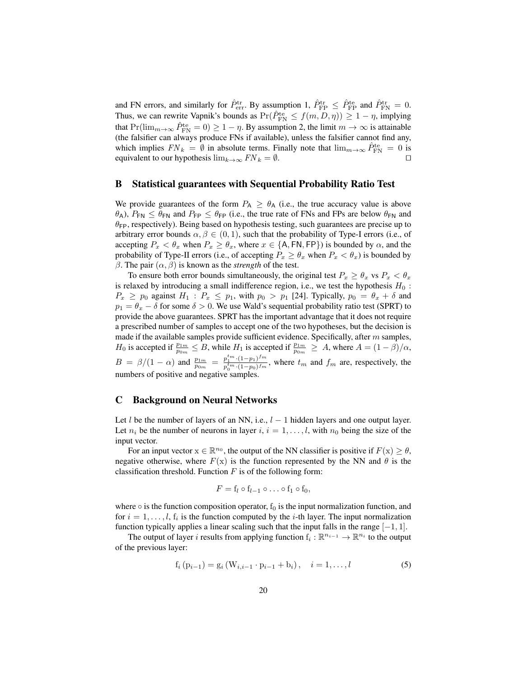and FN errors, and similarly for  $\hat{P}_{err}^{tr}$ . By assumption 1,  $\hat{P}_{FP}^{tr} \leq \hat{P}_{FP}^{te}$  and  $\hat{P}_{FN}^{tr} = 0$ . Thus, we can rewrite Vapnik's bounds as  $Pr(\hat{P}_{FN}^{te} \le f(m, D, \eta)) \ge 1 - \eta$ , implying that  $Pr(\lim_{m\to\infty} \hat{P}_{FN}^{te} = 0) \ge 1 - \eta$ . By assumption 2, the limit  $m \to \infty$  is attainable (the falsifier can always produce FNs if available), unless the falsifier cannot find any, which implies  $FN_k = \emptyset$  in absolute terms. Finally note that  $\lim_{m\to\infty} \hat{P}_{FN}^{\text{te}} = 0$  is equivalent to our hypothesis  $\lim_{k\to\infty} FN_k = \emptyset$ .

# B Statistical guarantees with Sequential Probability Ratio Test

We provide guarantees of the form  $P_A \ge \theta_A$  (i.e., the true accuracy value is above  $\theta_A$ ),  $P_{FN} \leq \theta_{FN}$  and  $P_{FP} \leq \theta_{FP}$  (i.e., the true rate of FNs and FPs are below  $\theta_{FN}$  and  $\theta_{FP}$ , respectively). Being based on hypothesis testing, such guarantees are precise up to arbitrary error bounds  $\alpha, \beta \in (0, 1)$ , such that the probability of Type-I errors (i.e., of accepting  $P_x < \theta_x$  when  $P_x \ge \theta_x$ , where  $x \in \{A, FN, FP\}$  is bounded by  $\alpha$ , and the probability of Type-II errors (i.e., of accepting  $P_x \ge \theta_x$  when  $P_x < \theta_x$ ) is bounded by β. The pair (α, β) is known as the *strength* of the test.

To ensure both error bounds simultaneously, the original test  $P_x \ge \theta_x$  vs  $P_x < \theta_x$ is relaxed by introducing a small indifference region, i.e., we test the hypothesis  $H_0$ :  $P_x \geq p_0$  against  $H_1$ :  $P_x \leq p_1$ , with  $p_0 > p_1$  [24]. Typically,  $p_0 = \theta_x + \delta$  and  $p_1 = \theta_x - \delta$  for some  $\delta > 0$ . We use Wald's sequential probability ratio test (SPRT) to provide the above guarantees. SPRT has the important advantage that it does not require a prescribed number of samples to accept one of the two hypotheses, but the decision is made if the available samples provide sufficient evidence. Specifically, after  $m$  samples,  $H_0$  is accepted if  $\frac{p_{1m}}{p_{0m}} \leq B$ , while  $H_1$  is accepted if  $\frac{p_{1m}}{p_{0m}} \geq A$ , where  $A = (1 - \beta)/\alpha$ ,  $B = \frac{\beta}{1-\alpha} \text{ and } \frac{p_{1m}}{p_{0m}} = \frac{p_1^{t_m} \cdot (1-p_1)^{fm}}{p_0^{t_m} \cdot (1-p_0)^{fm}}$  $\frac{p_1 \cdots (1-p_1)^{m_1}}{p_0^{t_m} \cdots (1-p_0)^{t_m}}$ , where  $t_m$  and  $f_m$  are, respectively, the numbers of positive and negative samples.

### C Background on Neural Networks

Let l be the number of layers of an NN, i.e.,  $l - 1$  hidden layers and one output layer. Let  $n_i$  be the number of neurons in layer i,  $i = 1, \ldots, l$ , with  $n_0$  being the size of the input vector.

For an input vector  $x \in \mathbb{R}^{n_0}$ , the output of the NN classifier is positive if  $F(x) \ge \theta$ , negative otherwise, where  $F(x)$  is the function represented by the NN and  $\theta$  is the classification threshold. Function  $F$  is of the following form:

$$
F = f_l \circ f_{l-1} \circ \ldots \circ f_1 \circ f_0,
$$

where  $\circ$  is the function composition operator,  $f_0$  is the input normalization function, and for  $i = 1, \ldots, l$ ,  $f_i$  is the function computed by the *i*-th layer. The input normalization function typically applies a linear scaling such that the input falls in the range  $[-1, 1]$ .

The output of layer *i* results from applying function  $f_i : \mathbb{R}^{n_{i-1}} \to \mathbb{R}^{n_i}$  to the output of the previous layer:

$$
f_i(p_{i-1}) = g_i(W_{i,i-1} \cdot p_{i-1} + b_i), \quad i = 1, ..., l
$$
 (5)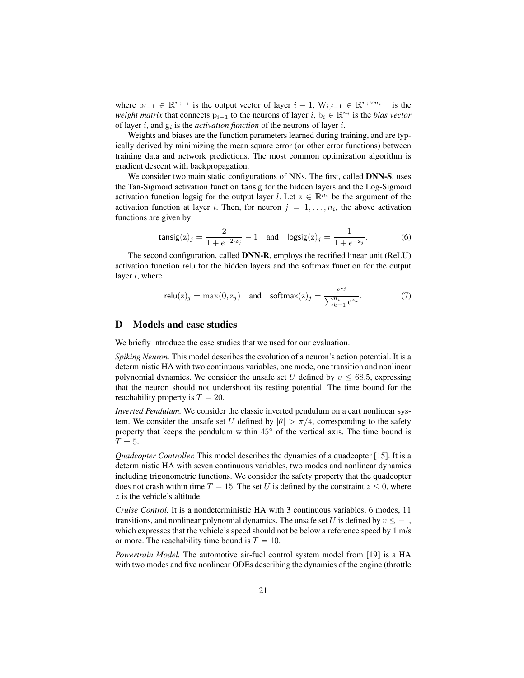where  $p_{i-1} \in \mathbb{R}^{n_{i-1}}$  is the output vector of layer  $i-1$ ,  $W_{i,i-1} \in \mathbb{R}^{n_i \times n_{i-1}}$  is the *weight matrix* that connects  $p_{i-1}$  to the neurons of layer  $i, b_i \in \mathbb{R}^{n_i}$  is the *bias vector* of layer  $i$ , and  $g_i$  is the *activation function* of the neurons of layer  $i$ .

Weights and biases are the function parameters learned during training, and are typically derived by minimizing the mean square error (or other error functions) between training data and network predictions. The most common optimization algorithm is gradient descent with backpropagation.

We consider two main static configurations of NNs. The first, called **DNN-S**, uses the Tan-Sigmoid activation function tansig for the hidden layers and the Log-Sigmoid activation function logsig for the output layer *l*. Let  $z \in \mathbb{R}^{n_i}$  be the argument of the activation function at layer *i*. Then, for neuron  $j = 1, \ldots, n_i$ , the above activation functions are given by:

tansig
$$
(z)_j = \frac{2}{1 + e^{-2 \cdot z_j}} - 1
$$
 and  $logsig(z)_j = \frac{1}{1 + e^{-z_j}}$ . (6)

The second configuration, called DNN-R, employs the rectified linear unit (ReLU) activation function relu for the hidden layers and the softmax function for the output layer *l*, where

$$
\text{relu}(z)_j = \max(0, z_j) \quad \text{and} \quad \text{softmax}(z)_j = \frac{e^{z_j}}{\sum_{k=1}^{n_i} e^{z_k}}.\tag{7}
$$

# D Models and case studies

We briefly introduce the case studies that we used for our evaluation.

*Spiking Neuron.* This model describes the evolution of a neuron's action potential. It is a deterministic HA with two continuous variables, one mode, one transition and nonlinear polynomial dynamics. We consider the unsafe set U defined by  $v \le 68.5$ , expressing that the neuron should not undershoot its resting potential. The time bound for the reachability property is  $T = 20$ .

*Inverted Pendulum.* We consider the classic inverted pendulum on a cart nonlinear system. We consider the unsafe set U defined by  $|\theta| > \pi/4$ , corresponding to the safety property that keeps the pendulum within 45◦ of the vertical axis. The time bound is  $T=5.$ 

*Quadcopter Controller.* This model describes the dynamics of a quadcopter [15]. It is a deterministic HA with seven continuous variables, two modes and nonlinear dynamics including trigonometric functions. We consider the safety property that the quadcopter does not crash within time  $T = 15$ . The set U is defined by the constraint  $z \le 0$ , where z is the vehicle's altitude.

*Cruise Control.* It is a nondeterministic HA with 3 continuous variables, 6 modes, 11 transitions, and nonlinear polynomial dynamics. The unsafe set U is defined by  $v \le -1$ , which expresses that the vehicle's speed should not be below a reference speed by 1 m/s or more. The reachability time bound is  $T = 10$ .

*Powertrain Model.* The automotive air-fuel control system model from [19] is a HA with two modes and five nonlinear ODEs describing the dynamics of the engine (throttle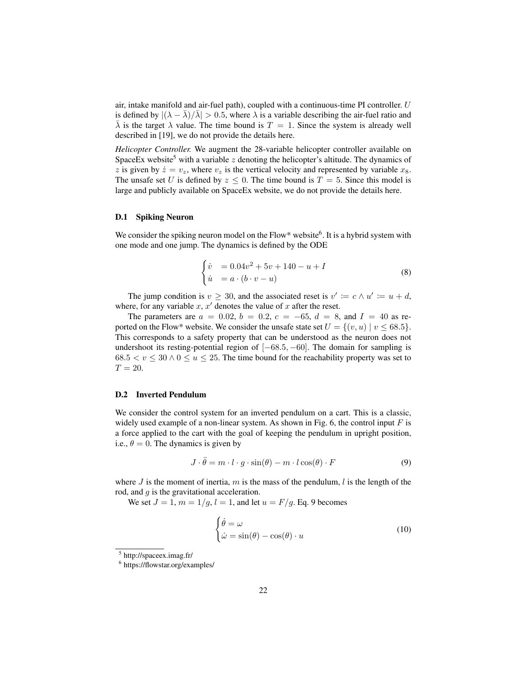air, intake manifold and air-fuel path), coupled with a continuous-time PI controller.  $U$ is defined by  $|(\lambda - \lambda)/\lambda| > 0.5$ , where  $\lambda$  is a variable describing the air-fuel ratio and  $\bar{\lambda}$  is the target  $\lambda$  value. The time bound is  $T = 1$ . Since the system is already well described in [19], we do not provide the details here.

*Helicopter Controller.* We augment the 28-variable helicopter controller available on SpaceEx website<sup>5</sup> with a variable  $z$  denoting the helicopter's altitude. The dynamics of z is given by  $\dot{z} = v_z$ , where  $v_z$  is the vertical velocity and represented by variable  $x_8$ . The unsafe set U is defined by  $z \leq 0$ . The time bound is  $T = 5$ . Since this model is large and publicly available on SpaceEx website, we do not provide the details here.

#### D.1 Spiking Neuron

We consider the spiking neuron model on the Flow\* website<sup>6</sup>. It is a hybrid system with one mode and one jump. The dynamics is defined by the ODE

$$
\begin{cases} \dot{v} &= 0.04v^2 + 5v + 140 - u + I \\ \dot{u} &= a \cdot (b \cdot v - u) \end{cases}
$$
 (8)

The jump condition is  $v \ge 30$ , and the associated reset is  $v' \coloneqq c \wedge u' \coloneqq u + d$ , where, for any variable  $x, x'$  denotes the value of  $x$  after the reset.

The parameters are  $a = 0.02$ ,  $b = 0.2$ ,  $c = -65$ ,  $d = 8$ , and  $I = 40$  as reported on the Flow\* website. We consider the unsafe state set  $U = \{(v, u) | v \le 68.5\}.$ This corresponds to a safety property that can be understood as the neuron does not undershoot its resting-potential region of  $[-68.5, -60]$ . The domain for sampling is  $68.5 < v \leq 30 \land 0 \leq u \leq 25$ . The time bound for the reachability property was set to  $T = 20.$ 

#### D.2 Inverted Pendulum

We consider the control system for an inverted pendulum on a cart. This is a classic, widely used example of a non-linear system. As shown in Fig. 6, the control input  $F$  is a force applied to the cart with the goal of keeping the pendulum in upright position, i.e.,  $\theta = 0$ . The dynamics is given by

$$
J \cdot \ddot{\theta} = m \cdot l \cdot g \cdot \sin(\theta) - m \cdot l \cos(\theta) \cdot F \tag{9}
$$

where  $J$  is the moment of inertia,  $m$  is the mass of the pendulum,  $l$  is the length of the rod, and  $g$  is the gravitational acceleration.

We set  $J = 1$ ,  $m = 1/g$ ,  $l = 1$ , and let  $u = F/g$ . Eq. 9 becomes

$$
\begin{cases}\n\dot{\theta} = \omega \\
\dot{\omega} = \sin(\theta) - \cos(\theta) \cdot u\n\end{cases}
$$
\n(10)

<sup>5</sup> http://spaceex.imag.fr/

<sup>6</sup> https://flowstar.org/examples/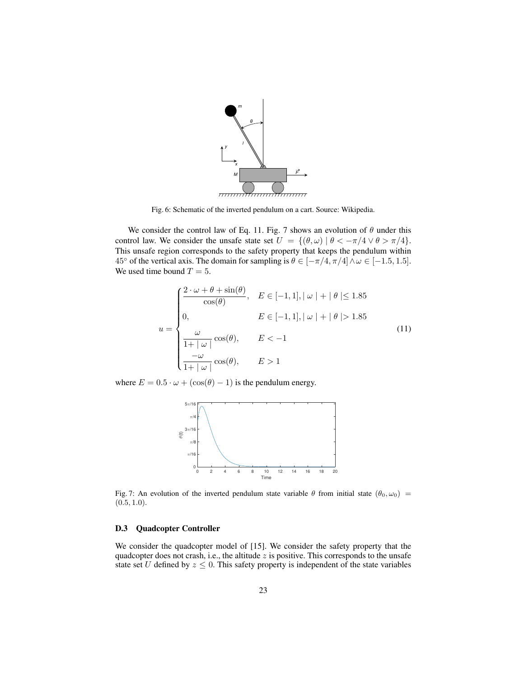

Fig. 6: Schematic of the inverted pendulum on a cart. Source: Wikipedia.

We consider the control law of Eq. 11. Fig. 7 shows an evolution of  $\theta$  under this control law. We consider the unsafe state set  $U = \{(\theta, \omega) | \theta < -\pi/4 \vee \theta > \pi/4\}.$ This unsafe region corresponds to the safety property that keeps the pendulum within 45° of the vertical axis. The domain for sampling is  $\theta \in [-\pi/4, \pi/4] \wedge \omega \in [-1.5, 1.5]$ . We used time bound  $T = 5$ .

$$
u = \begin{cases} \frac{2 \cdot \omega + \theta + \sin(\theta)}{\cos(\theta)}, & E \in [-1, 1], |\omega| + |\theta| \le 1.85\\ 0, & E \in [-1, 1], |\omega| + |\theta| > 1.85\\ \frac{\omega}{1 + |\omega|} \cos(\theta), & E < -1\\ \frac{-\omega}{1 + |\omega|} \cos(\theta), & E > 1 \end{cases}
$$
(11)

where  $E = 0.5 \cdot \omega + (\cos(\theta) - 1)$  is the pendulum energy.



Fig. 7: An evolution of the inverted pendulum state variable  $\theta$  from initial state  $(\theta_0, \omega_0)$  =  $(0.5, 1.0).$ 

#### D.3 Quadcopter Controller

 $\iota$ 

We consider the quadcopter model of [15]. We consider the safety property that the quadcopter does not crash, i.e., the altitude  $z$  is positive. This corresponds to the unsafe state set U defined by  $z \leq 0$ . This safety property is independent of the state variables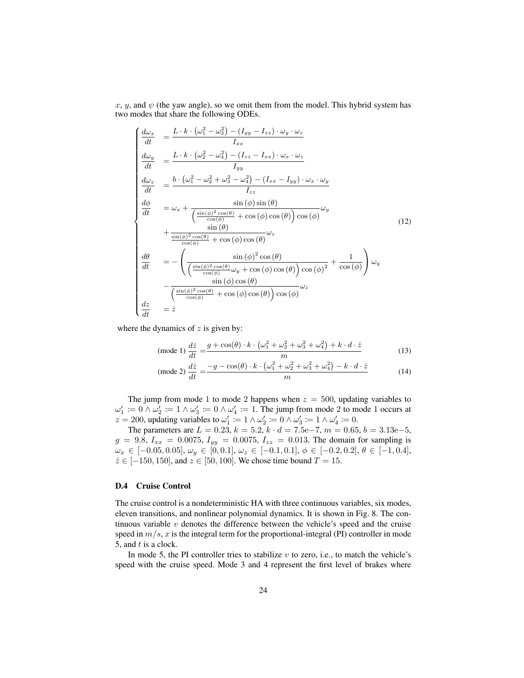x, y, and  $\psi$  (the yaw angle), so we omit them from the model. This hybrid system has two modes that share the following ODEs.

$$
\begin{cases}\n\frac{d\omega_x}{dt} = \frac{L \cdot k \cdot (\omega_1^2 - \omega_3^2) - (I_{yy} - I_{zz}) \cdot \omega_y \cdot \omega_z}{I_{xx}} \\
\frac{d\omega_y}{dt} = \frac{L \cdot k \cdot (\omega_2^2 - \omega_4^2) - (I_{zz} - I_{xx}) \cdot \omega_x \cdot \omega_z}{I_{yy}} \\
\frac{d\omega_z}{dt} = \frac{b \cdot (\omega_1^2 - \omega_2^2 + \omega_3^2 - \omega_4^2) - (I_{xx} - I_{yy}) \cdot \omega_x \cdot \omega_y}{I_{zz}} \\
\frac{d\phi}{dt} = \omega_x + \frac{\sin(\phi) \sin(\theta)}{\frac{\cos(\phi)}{\cos(\phi)} + \cos(\phi) \cos(\theta)\cos(\phi)}\omega_y \\
+ \frac{\sin(\phi)^2 \cos(\theta)}{\cos(\phi)} + \cos(\phi) \cos(\theta)^2\n\end{cases}
$$
\n
$$
\begin{cases}\n\frac{d\theta}{dt} = -\left(\frac{\sin(\phi)^2 \cos(\theta)}{\frac{\sin(\phi)^2 \cos(\theta)}{\cos(\phi)} \omega_y + \cos(\phi) \cos(\theta)\cos(\phi)^2} + \frac{1}{\cos(\phi)}\right)\omega_y \\
-\frac{\sin(\phi) \cos(\theta)}{\frac{\sin(\phi)^2 \cos(\theta)}{\cos(\phi)} + \cos(\phi) \cos(\theta)\cos(\phi)^2}\omega_z\n\end{cases}
$$
\n
$$
\begin{cases}\n\frac{d\overline{z}}{dt} = \frac{1}{\cos(\phi)} \\
\frac{d\overline{z}}{dt} = \overline{z}\n\end{cases}
$$

where the dynamics of  $z$  is given by:

$$
\text{(mode 1)}\ \frac{d\dot{z}}{dt} = \frac{g + \cos(\theta) \cdot k \cdot \left(\omega_1^2 + \omega_2^2 + \omega_3^2 + \omega_4^2\right) + k \cdot d \cdot \dot{z}}{m} \tag{13}
$$

$$
\text{(mode 2)}\ \frac{d\dot{z}}{dt} = \frac{-g - \cos(\theta) \cdot k \cdot \left(\omega_1^2 + \omega_2^2 + \omega_3^2 + \omega_4^2\right) - k \cdot d \cdot \dot{z}}{m} \tag{14}
$$

The jump from mode 1 to mode 2 happens when  $z = 500$ , updating variables to  $\omega'_1 := 0 \wedge \omega'_2 := 1 \wedge \omega'_3 := 0 \wedge \omega'_4 := 1$ . The jump from mode 2 to mode 1 occurs at  $z = 200$ , updating variables to  $\omega'_1 := 1 \wedge \omega'_2 := 0 \wedge \omega'_3 := 1 \wedge \omega'_4 := 0$ .

The parameters are  $L = 0.23$ ,  $k = 5.2$ ,  $k \cdot d = 7.5e-7$ ,  $m = 0.65$ ,  $b = 3.13e-5$ ,  $g = 9.8$ ,  $I_{xx} = 0.0075$ ,  $I_{yy} = 0.0075$ ,  $I_{zz} = 0.013$ . The domain for sampling is  $\omega_x \in [-0.05, 0.05], \omega_y \in [0, 0.1], \omega_z \in [-0.1, 0.1], \phi \in [-0.2, 0.2], \theta \in [-1, 0.4],$  $\dot{z}$  ∈ [-150, 150], and  $z$  ∈ [50, 100]. We chose time bound  $T = 15$ .

# D.4 Cruise Control

The cruise control is a nondeterministic HA with three continuous variables, six modes, eleven transitions, and nonlinear polynomial dynamics. It is shown in Fig. 8. The continuous variable  $v$  denotes the difference between the vehicle's speed and the cruise speed in  $m/s$ , x is the integral term for the proportional-integral (PI) controller in mode 5, and  $t$  is a clock.

In mode 5, the PI controller tries to stabilize  $v$  to zero, i.e., to match the vehicle's speed with the cruise speed. Mode 3 and 4 represent the first level of brakes where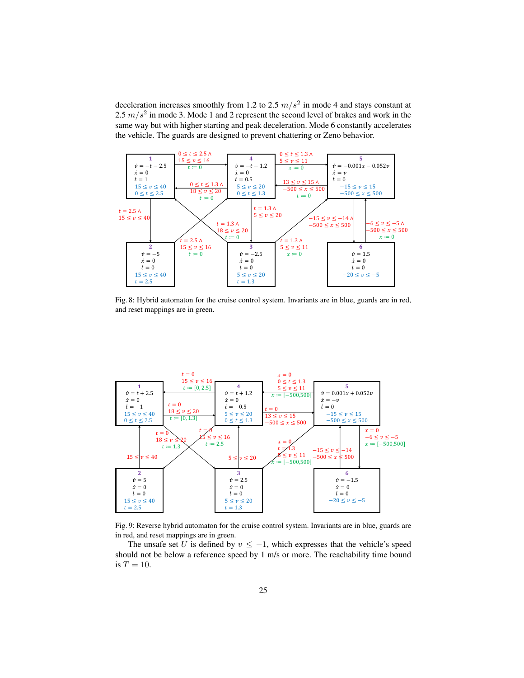deceleration increases smoothly from 1.2 to 2.5  $m/s^2$  in mode 4 and stays constant at 2.5  $m/s^2$  in mode 3. Mode 1 and 2 represent the second level of brakes and work in the same way but with higher starting and peak deceleration. Mode 6 constantly accelerates the vehicle. The guards are designed to prevent chattering or Zeno behavior.



Fig. 8: Hybrid automaton for the cruise control system. Invariants are in blue, guards are in red, and reset mappings are in green.



Fig. 9: Reverse hybrid automaton for the cruise control system. Invariants are in blue, guards are in red, and reset mappings are in green.

The unsafe set U is defined by  $v \le -1$ , which expresses that the vehicle's speed should not be below a reference speed by 1 m/s or more. The reachability time bound is  $T = 10$ .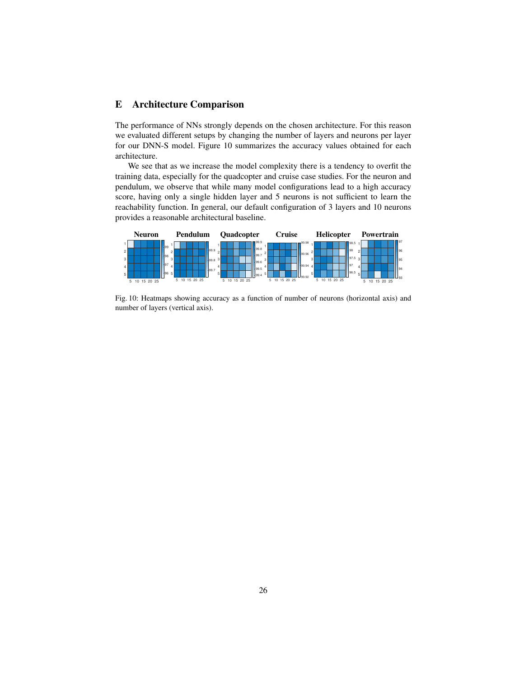# E Architecture Comparison

The performance of NNs strongly depends on the chosen architecture. For this reason we evaluated different setups by changing the number of layers and neurons per layer for our DNN-S model. Figure 10 summarizes the accuracy values obtained for each architecture.

We see that as we increase the model complexity there is a tendency to overfit the training data, especially for the quadcopter and cruise case studies. For the neuron and pendulum, we observe that while many model configurations lead to a high accuracy score, having only a single hidden layer and 5 neurons is not sufficient to learn the reachability function. In general, our default configuration of 3 layers and 10 neurons provides a reasonable architectural baseline.



Fig. 10: Heatmaps showing accuracy as a function of number of neurons (horizontal axis) and number of layers (vertical axis).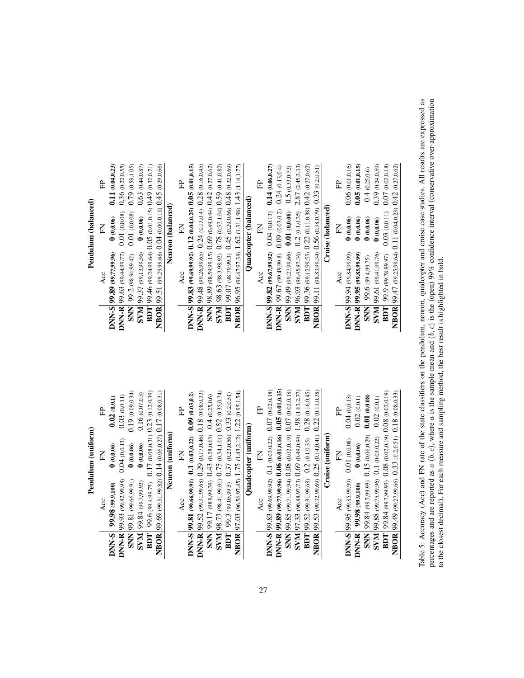| Pendulum (uniform)                                              | Pendulum (balanced)                                             |
|-----------------------------------------------------------------|-----------------------------------------------------------------|
| 丘<br>叾<br>Acc                                                   | 臣<br>叾<br>Acc                                                   |
| 0.02(0.0.1)<br>0(0, 0.06)<br>DNN-S 99.98 (99.9.100)             | 0.11(0.04, 0.23)<br>0(0, 0.06)<br>DNN-S 99.89 (99.77,99.96)     |
| 0.03(0.0.11)<br>0.04(0.0.13)<br>DNN-R 99.93 (99.82,99.98)       | 0.36(0.22, 0.55)<br>0.01(0.0.08)<br>DNN-R 99.63 (99.44,99.77)   |
| 0.19(0.09, 0.34)<br>0(0, 0.06)<br>SNN 99.81 (99.66,99.91)       | 0.79(0.58, 1.05)<br>0.01(0,0.08)<br>SNN 99.2 (98.94,99.42)      |
| 0.16(0.07, 0.3)<br>0(0, 0.06)<br>SVM 99.84 (99.7,99.93)         | 0.63(0.44, 0.87)<br>0(0,0.06)<br>SVM 99.37 (99.13,99.56)        |
| <b>BDT</b> 99.6 (99.4,99.75) 0.17 (0.08,0.31) 0.23 (0.12,0.39)  | BDT 99.46 (99.24,99.64) 0.05 (0.01,0.15) 0.49 (0.32,0.71)       |
| NBOR 99.69 (99.51,99.82) 0.14 (0.06,0.27) 0.17 (0.08,0.31)      | NBOR 99.51 (99.29,99.68) 0.04 (0.00,0.13) 0.45 (0.29,0.66)      |
| Neuron (uniform)                                                | Neuron (balanced)                                               |
| 丘<br>召<br>Acc                                                   | 丘<br>叾<br>Acc                                                   |
| $DNN-S$ 99.81 (99.66,99.91) 0.1 (0.03,0.22) 0.09 (0.03,0.2)     | DNN-S 99.83 (99.69,99.92) 0.12 (0.04,0.25) 0.05 (0.01,0.15)     |
| $DNN-R$ 99.52 (99.31,99.68) 0.29 (0.17,0.46) 0.18 (0.08,0.33)   | $DNN-R$ 99.48 (99.26,99.65) 0.24 (0.13,0.4) 0.28 (0.16,0.45)    |
| SNN 99.17 (98.9,99.39) 0.43 (0.28,0.63) 0.4 (0.25,0.6)          | SNN   98.89 (98.59,99.15) 0.69 (0.49,0.94) 0.42 (0.27,0.62)     |
| SVM 98.73 (98.41,99.01) 0.75 (0.54,1.01) 0.52 (0.35,0.74)       | SVM 98.63 (98.3,98.92) 0.78 (0.57,1.04) 0.59 (0.41,0.82)        |
| <b>BDT</b> 99.3 (99.05,99.5) 0.37 (0.23,0.56) 0.33 (0.2,0.51)   | <b>BDT</b> 99.07 (98.79,99.3) 0.45 (0.29,0.66) 0.48 (0.32,0.69) |
| NBOR 97.03 (96.56,97.45) 1.75 (1.43,2.12) 1.22 (0.95,1.54)      | NBOR 96.95 (96.47,97.38) 1.62 (1.31,1.98) 1.43 (1.14,1.77)      |
| Quadcopter (uniform)                                            | Quadcopter (balanced)                                           |
| 丘<br>E<br>Acc                                                   | 丘<br>E<br>Acc                                                   |
| 0.07(0.02, 0.18)<br>DNN-S 99.83 (99.69,99.92) 0.1 (0.03,0.22)   | $DNN-S$ 99.82 (99.67,99.92) 0.04 (0,0.13) 0.14 (0.06,0.27)      |
| DNN-R   99.89 (99.77,99.96) 0.06 (0.01,0.16) 0.05 (0.01,0.15)   | $DNN-R$ 99.67 (99.49,99.8) 0.09 (0.03,0.2) 0.24 (0.13,0.4)      |
| SNN 99.85 (99.71,99.94) 0.08 (0.02,0.19) 0.07 (0.02,0.18)       | 0.5(0.33, 0.72)<br>SNN 99.49 (99.27,99.66) 0.01 (0,0.08)        |
| SVM 97.33 (96.88,97.73) 0.69 (0.49,0.94) 1.98 (1.63,2.37)       | 2.87(2.45,3.33)<br>0.2(0.1, 0.35)<br>SVM 96.93 (96.45,97.36)    |
| <b>BDT</b>  99.52 (99.31,99.68) 0.2 (0.1,0.35) 0.28 (0.16,0.45) | BDT 99.36 (99.12,99.55) 0.22 (0.11,0.38) 0.42 (0.27,0.62)       |
| NBOR 99.53 (99.32,99.69) 0.25 (0.14,0.41) 0.22 (0.11,0.38)      | NBOR 99.11 (98.83,99.34) 0.56 (0.38,0.79) 0.33 (0.2,0.51)       |
| Cruise (uniform                                                 | Cruise (balanced)                                               |
| 臣<br>E<br>Acc                                                   | 出<br>E<br>Acc                                                   |
| 0.04(0.0.13)<br>DNN-S 99.95 (99.85,99.99) 0.01 (0,0.08)         | 0.06(0.01, 0.16)<br>(0, 0.06)<br>DNN-S 99.94 (99.84,99.99)      |
| 0.02(0.0.1)<br>0(0, 0.06)<br>DNN-R 99.98 (99.9.100)             | 0.05(0.01, 0.15)<br>(0.0.06)<br>DNN-R 99.95 (99.85,99.99)       |
| 0.01(0.0.08)<br>0.15(0.06, 0.29)<br>SNN 99.84 (99.7,99.93)      | 0.4(0.25,0.6)<br>0(0,0.06)<br>SNN 99.6 (99.4,99.75)             |
| 0.02(0.0.1)<br>SVM 99.88 (99.75,99.96) 0.1 (0.03,0.22)          | 0.39(0.24, 0.59)<br>0.0, 0.06<br>SVM 99.61 (99.41,99.76)        |
| BDT 99.84 (99.7,99.93) 0.08 (0.02,0.19) 0.08 (0.02,0.19)        | 0.07(0.02, 0.18)<br>0.03(0,0.11)<br>BDT 99.9 (99.78,99.97)      |
| NBOR 99.49 (99.27,99.66) 0.33 (0.2,0.51) 0.18 (0.08,0.33)       | NBOR 99.47 (99.25,99.64) 0.11 (0.04,0.23) 0.42 (0.27,0.62)      |

Table 5: Accuracy (Acc) and FN rate of the state classifiers on the pendulum, neuron, quadcopter and cruise case studies. All results are expressed as percentages and are reported as  $a(b, c)$ , where  $a$  is the sample mean Table 5: Accuracy (Acc) and FN rate of the state classifiers on the pendulum, neuron, quadcopter and cruise case studies. All results are expressed as percentages and are reported as  $a (b, c)$ , where  $a$  is the sample mean and  $(b, c)$  is the (open) 99% confidence interval (conservative over-approximation to the closest decimal). For each measure and sampling method, the best result is highlighted in bold.